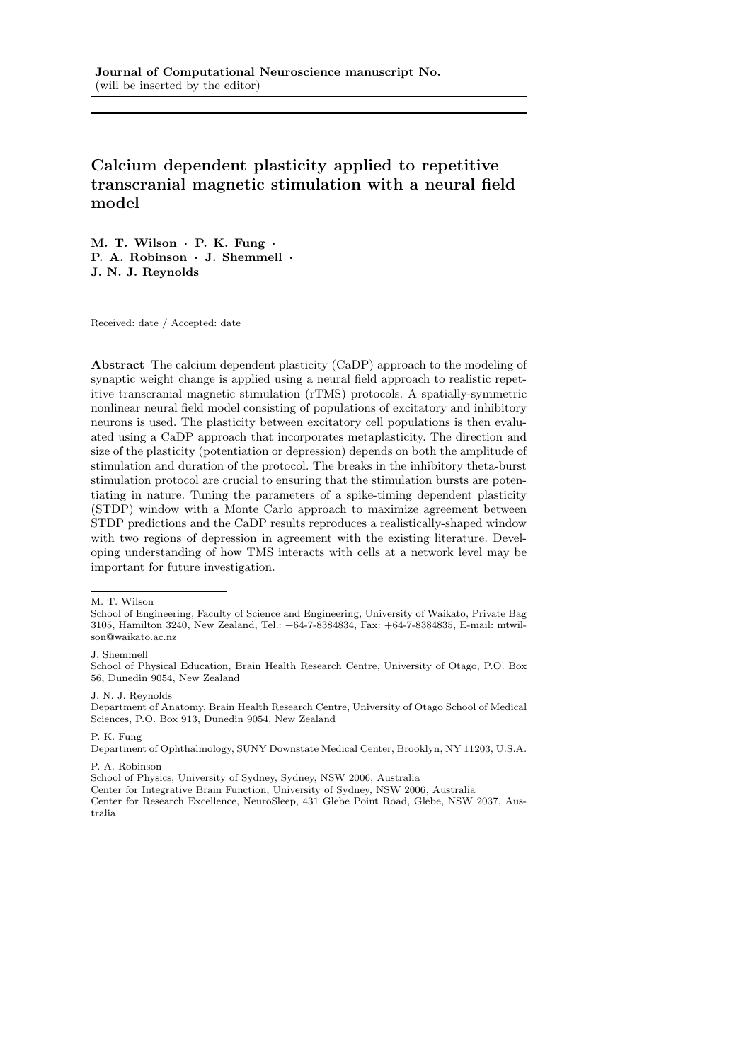Calcium dependent plasticity applied to repetitive transcranial magnetic stimulation with a neural field model

M. T. Wilson · P. K. Fung · P. A. Robinson · J. Shemmell · J. N. J. Reynolds

Received: date / Accepted: date

Abstract The calcium dependent plasticity (CaDP) approach to the modeling of synaptic weight change is applied using a neural field approach to realistic repetitive transcranial magnetic stimulation (rTMS) protocols. A spatially-symmetric nonlinear neural field model consisting of populations of excitatory and inhibitory neurons is used. The plasticity between excitatory cell populations is then evaluated using a CaDP approach that incorporates metaplasticity. The direction and size of the plasticity (potentiation or depression) depends on both the amplitude of stimulation and duration of the protocol. The breaks in the inhibitory theta-burst stimulation protocol are crucial to ensuring that the stimulation bursts are potentiating in nature. Tuning the parameters of a spike-timing dependent plasticity (STDP) window with a Monte Carlo approach to maximize agreement between STDP predictions and the CaDP results reproduces a realistically-shaped window with two regions of depression in agreement with the existing literature. Developing understanding of how TMS interacts with cells at a network level may be important for future investigation.

P. K. Fung

Department of Ophthalmology, SUNY Downstate Medical Center, Brooklyn, NY 11203, U.S.A.

P. A. Robinson

School of Physics, University of Sydney, Sydney, NSW 2006, Australia

M. T. Wilson

School of Engineering, Faculty of Science and Engineering, University of Waikato, Private Bag 3105, Hamilton 3240, New Zealand, Tel.: +64-7-8384834, Fax: +64-7-8384835, E-mail: mtwilson@waikato.ac.nz

J. Shemmell

School of Physical Education, Brain Health Research Centre, University of Otago, P.O. Box 56, Dunedin 9054, New Zealand

J. N. J. Reynolds

Department of Anatomy, Brain Health Research Centre, University of Otago School of Medical Sciences, P.O. Box 913, Dunedin 9054, New Zealand

Center for Integrative Brain Function, University of Sydney, NSW 2006, Australia Center for Research Excellence, NeuroSleep, 431 Glebe Point Road, Glebe, NSW 2037, Australia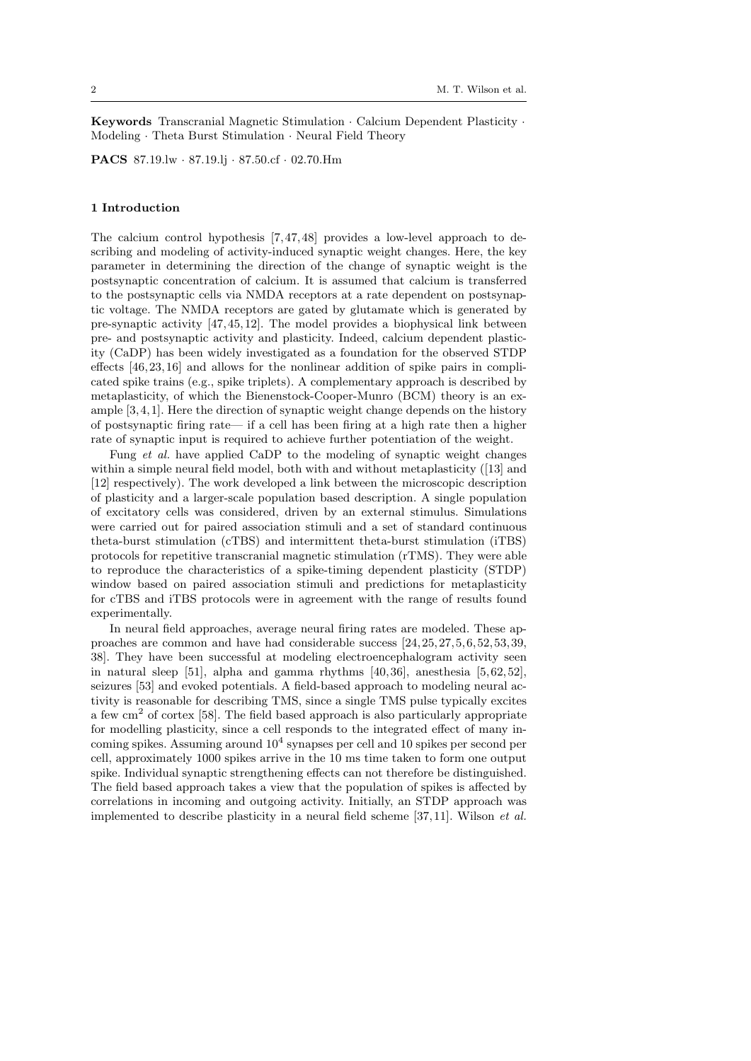Keywords Transcranial Magnetic Stimulation · Calcium Dependent Plasticity · Modeling · Theta Burst Stimulation · Neural Field Theory

PACS 87.19.lw · 87.19.lj · 87.50.cf · 02.70.Hm

#### 1 Introduction

The calcium control hypothesis [7,47, 48] provides a low-level approach to describing and modeling of activity-induced synaptic weight changes. Here, the key parameter in determining the direction of the change of synaptic weight is the postsynaptic concentration of calcium. It is assumed that calcium is transferred to the postsynaptic cells via NMDA receptors at a rate dependent on postsynaptic voltage. The NMDA receptors are gated by glutamate which is generated by pre-synaptic activity [47, 45, 12]. The model provides a biophysical link between pre- and postsynaptic activity and plasticity. Indeed, calcium dependent plasticity (CaDP) has been widely investigated as a foundation for the observed STDP effects [46,23, 16] and allows for the nonlinear addition of spike pairs in complicated spike trains (e.g., spike triplets). A complementary approach is described by metaplasticity, of which the Bienenstock-Cooper-Munro (BCM) theory is an example [3,4, 1]. Here the direction of synaptic weight change depends on the history of postsynaptic firing rate— if a cell has been firing at a high rate then a higher rate of synaptic input is required to achieve further potentiation of the weight.

Fung et al. have applied CaDP to the modeling of synaptic weight changes within a simple neural field model, both with and without metaplasticity ([13] and [12] respectively). The work developed a link between the microscopic description of plasticity and a larger-scale population based description. A single population of excitatory cells was considered, driven by an external stimulus. Simulations were carried out for paired association stimuli and a set of standard continuous theta-burst stimulation (cTBS) and intermittent theta-burst stimulation (iTBS) protocols for repetitive transcranial magnetic stimulation (rTMS). They were able to reproduce the characteristics of a spike-timing dependent plasticity (STDP) window based on paired association stimuli and predictions for metaplasticity for cTBS and iTBS protocols were in agreement with the range of results found experimentally.

In neural field approaches, average neural firing rates are modeled. These approaches are common and have had considerable success [24, 25, 27, 5,6, 52, 53, 39, 38]. They have been successful at modeling electroencephalogram activity seen in natural sleep [51], alpha and gamma rhythms  $[40, 36]$ , anesthesia [5, 62, 52], seizures [53] and evoked potentials. A field-based approach to modeling neural activity is reasonable for describing TMS, since a single TMS pulse typically excites a few  $\text{cm}^2$  of cortex [58]. The field based approach is also particularly appropriate for modelling plasticity, since a cell responds to the integrated effect of many incoming spikes. Assuming around  $10^4$  synapses per cell and 10 spikes per second per cell, approximately 1000 spikes arrive in the 10 ms time taken to form one output spike. Individual synaptic strengthening effects can not therefore be distinguished. The field based approach takes a view that the population of spikes is affected by correlations in incoming and outgoing activity. Initially, an STDP approach was implemented to describe plasticity in a neural field scheme [37, 11]. Wilson et al.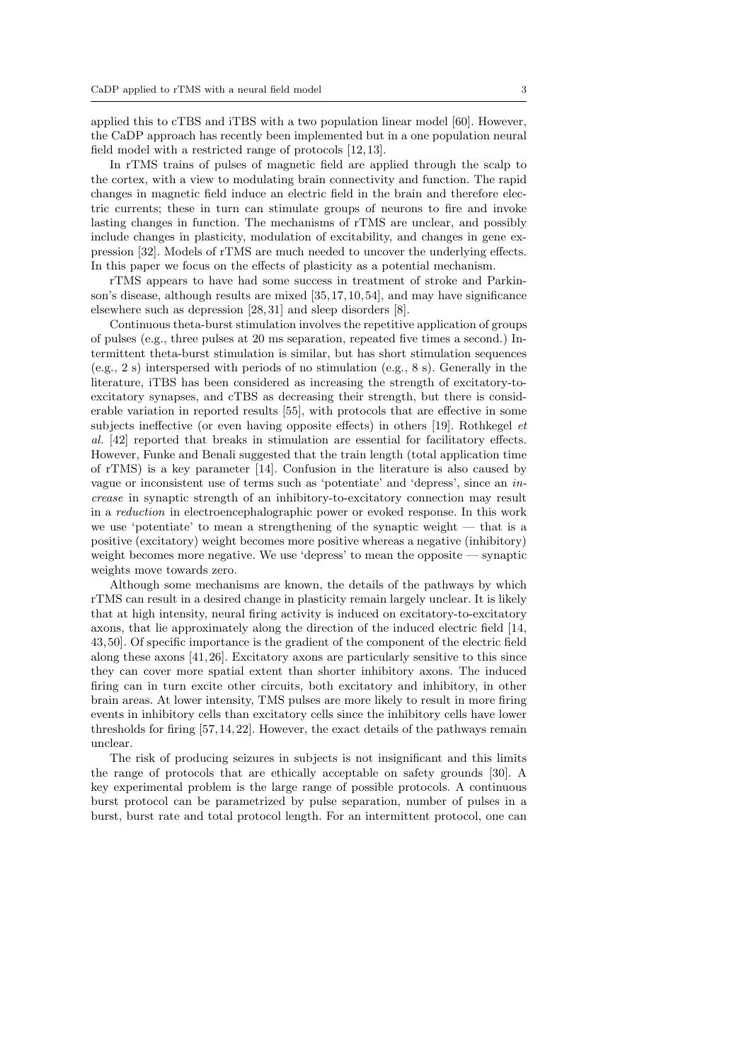applied this to cTBS and iTBS with a two population linear model [60]. However, the CaDP approach has recently been implemented but in a one population neural field model with a restricted range of protocols [12, 13].

In rTMS trains of pulses of magnetic field are applied through the scalp to the cortex, with a view to modulating brain connectivity and function. The rapid changes in magnetic field induce an electric field in the brain and therefore electric currents; these in turn can stimulate groups of neurons to fire and invoke lasting changes in function. The mechanisms of rTMS are unclear, and possibly include changes in plasticity, modulation of excitability, and changes in gene expression [32]. Models of rTMS are much needed to uncover the underlying effects. In this paper we focus on the effects of plasticity as a potential mechanism.

rTMS appears to have had some success in treatment of stroke and Parkinson's disease, although results are mixed [35,17, 10, 54], and may have significance elsewhere such as depression [28, 31] and sleep disorders [8].

Continuous theta-burst stimulation involves the repetitive application of groups of pulses (e.g., three pulses at 20 ms separation, repeated five times a second.) Intermittent theta-burst stimulation is similar, but has short stimulation sequences (e.g., 2 s) interspersed with periods of no stimulation (e.g., 8 s). Generally in the literature, iTBS has been considered as increasing the strength of excitatory-toexcitatory synapses, and cTBS as decreasing their strength, but there is considerable variation in reported results [55], with protocols that are effective in some subjects ineffective (or even having opposite effects) in others [19]. Rothkegel et al. [42] reported that breaks in stimulation are essential for facilitatory effects. However, Funke and Benali suggested that the train length (total application time of rTMS) is a key parameter [14]. Confusion in the literature is also caused by vague or inconsistent use of terms such as 'potentiate' and 'depress', since an increase in synaptic strength of an inhibitory-to-excitatory connection may result in a reduction in electroencephalographic power or evoked response. In this work we use 'potentiate' to mean a strengthening of the synaptic weight — that is a positive (excitatory) weight becomes more positive whereas a negative (inhibitory) weight becomes more negative. We use 'depress' to mean the opposite — synaptic weights move towards zero.

Although some mechanisms are known, the details of the pathways by which rTMS can result in a desired change in plasticity remain largely unclear. It is likely that at high intensity, neural firing activity is induced on excitatory-to-excitatory axons, that lie approximately along the direction of the induced electric field [14, 43, 50]. Of specific importance is the gradient of the component of the electric field along these axons [41, 26]. Excitatory axons are particularly sensitive to this since they can cover more spatial extent than shorter inhibitory axons. The induced firing can in turn excite other circuits, both excitatory and inhibitory, in other brain areas. At lower intensity, TMS pulses are more likely to result in more firing events in inhibitory cells than excitatory cells since the inhibitory cells have lower thresholds for firing [57, 14, 22]. However, the exact details of the pathways remain unclear.

The risk of producing seizures in subjects is not insignificant and this limits the range of protocols that are ethically acceptable on safety grounds [30]. A key experimental problem is the large range of possible protocols. A continuous burst protocol can be parametrized by pulse separation, number of pulses in a burst, burst rate and total protocol length. For an intermittent protocol, one can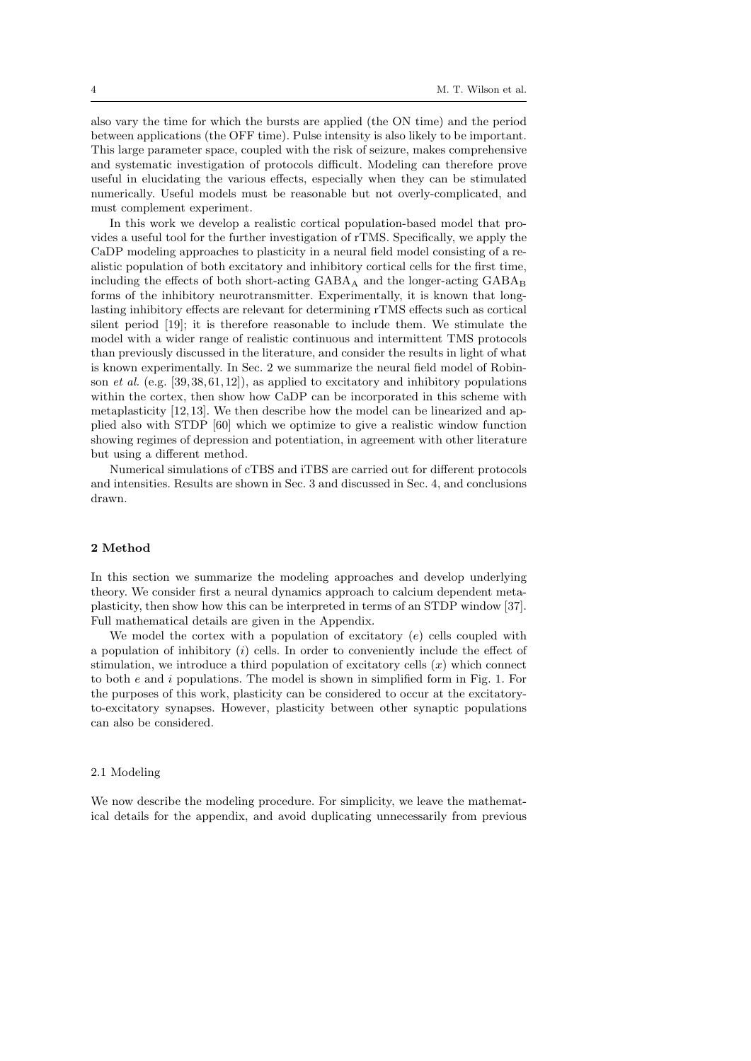also vary the time for which the bursts are applied (the ON time) and the period between applications (the OFF time). Pulse intensity is also likely to be important. This large parameter space, coupled with the risk of seizure, makes comprehensive and systematic investigation of protocols difficult. Modeling can therefore prove useful in elucidating the various effects, especially when they can be stimulated numerically. Useful models must be reasonable but not overly-complicated, and must complement experiment.

In this work we develop a realistic cortical population-based model that provides a useful tool for the further investigation of rTMS. Specifically, we apply the CaDP modeling approaches to plasticity in a neural field model consisting of a realistic population of both excitatory and inhibitory cortical cells for the first time, including the effects of both short-acting GABA<sup>A</sup> and the longer-acting GABA<sup>B</sup> forms of the inhibitory neurotransmitter. Experimentally, it is known that longlasting inhibitory effects are relevant for determining rTMS effects such as cortical silent period [19]; it is therefore reasonable to include them. We stimulate the model with a wider range of realistic continuous and intermittent TMS protocols than previously discussed in the literature, and consider the results in light of what is known experimentally. In Sec. 2 we summarize the neural field model of Robinson *et al.* (e.g. [39, 38, 61, 12]), as applied to excitatory and inhibitory populations within the cortex, then show how CaDP can be incorporated in this scheme with metaplasticity [12,13]. We then describe how the model can be linearized and applied also with STDP [60] which we optimize to give a realistic window function showing regimes of depression and potentiation, in agreement with other literature but using a different method.

Numerical simulations of cTBS and iTBS are carried out for different protocols and intensities. Results are shown in Sec. 3 and discussed in Sec. 4, and conclusions drawn.

## 2 Method

In this section we summarize the modeling approaches and develop underlying theory. We consider first a neural dynamics approach to calcium dependent metaplasticity, then show how this can be interpreted in terms of an STDP window [37]. Full mathematical details are given in the Appendix.

We model the cortex with a population of excitatory  $(e)$  cells coupled with a population of inhibitory  $(i)$  cells. In order to conveniently include the effect of stimulation, we introduce a third population of excitatory cells  $(x)$  which connect to both  $e$  and  $i$  populations. The model is shown in simplified form in Fig. 1. For the purposes of this work, plasticity can be considered to occur at the excitatoryto-excitatory synapses. However, plasticity between other synaptic populations can also be considered.

#### 2.1 Modeling

We now describe the modeling procedure. For simplicity, we leave the mathematical details for the appendix, and avoid duplicating unnecessarily from previous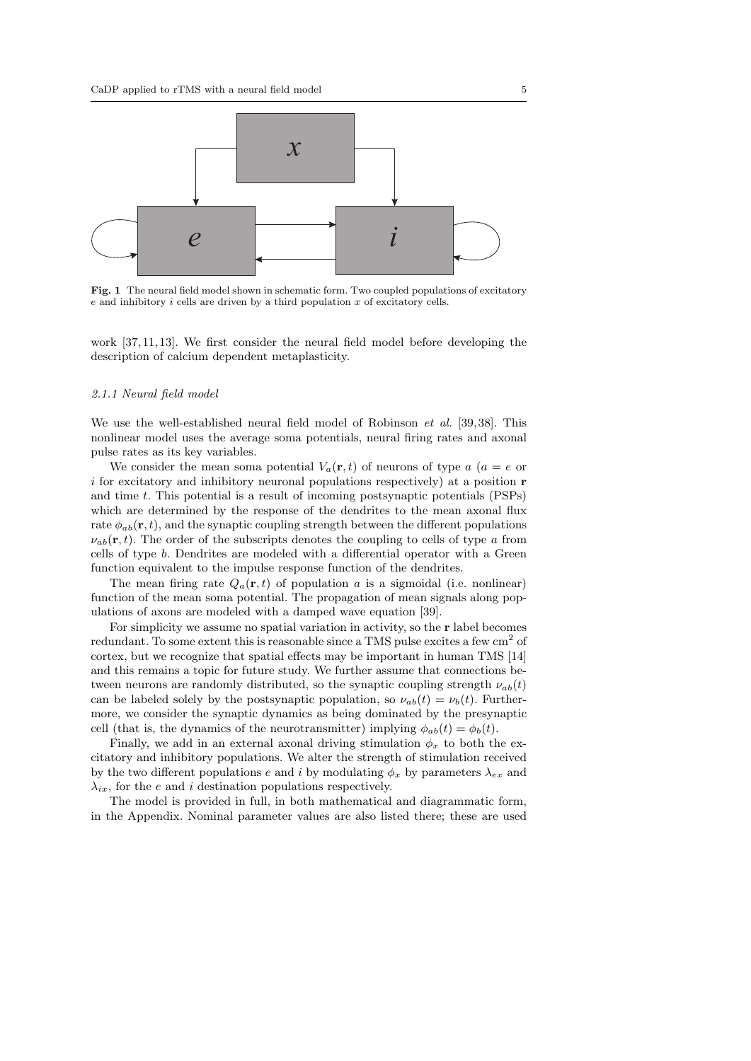

Fig. 1 The neural field model shown in schematic form. Two coupled populations of excitatory  $e$  and inhibitory  $i$  cells are driven by a third population  $x$  of excitatory cells.

work [37, 11,13]. We first consider the neural field model before developing the description of calcium dependent metaplasticity.

### 2.1.1 Neural field model

We use the well-established neural field model of Robinson *et al.* [39, 38]. This nonlinear model uses the average soma potentials, neural firing rates and axonal pulse rates as its key variables.

We consider the mean soma potential  $V_a(\mathbf{r}, t)$  of neurons of type  $a$  ( $a = e$  or  $i$  for excitatory and inhibitory neuronal populations respectively) at a position  $\bf{r}$ and time t. This potential is a result of incoming postsynaptic potentials (PSPs) which are determined by the response of the dendrites to the mean axonal flux rate  $\phi_{ab}(\mathbf{r},t)$ , and the synaptic coupling strength between the different populations  $\nu_{ab}(\mathbf{r},t)$ . The order of the subscripts denotes the coupling to cells of type a from cells of type b. Dendrites are modeled with a differential operator with a Green function equivalent to the impulse response function of the dendrites.

The mean firing rate  $Q_a(\mathbf{r},t)$  of population a is a sigmoidal (i.e. nonlinear) function of the mean soma potential. The propagation of mean signals along populations of axons are modeled with a damped wave equation [39].

For simplicity we assume no spatial variation in activity, so the r label becomes redundant. To some extent this is reasonable since a TMS pulse excites a few  $\text{cm}^2$  of cortex, but we recognize that spatial effects may be important in human TMS [14] and this remains a topic for future study. We further assume that connections between neurons are randomly distributed, so the synaptic coupling strength  $\nu_{ab}(t)$ can be labeled solely by the postsynaptic population, so  $\nu_{ab}(t) = \nu_b(t)$ . Furthermore, we consider the synaptic dynamics as being dominated by the presynaptic cell (that is, the dynamics of the neurotransmitter) implying  $\phi_{ab}(t) = \phi_b(t)$ .

Finally, we add in an external axonal driving stimulation  $\phi_x$  to both the excitatory and inhibitory populations. We alter the strength of stimulation received by the two different populations e and i by modulating  $\phi_x$  by parameters  $\lambda_{ex}$  and  $\lambda_{ix}$ , for the e and i destination populations respectively.

The model is provided in full, in both mathematical and diagrammatic form, in the Appendix. Nominal parameter values are also listed there; these are used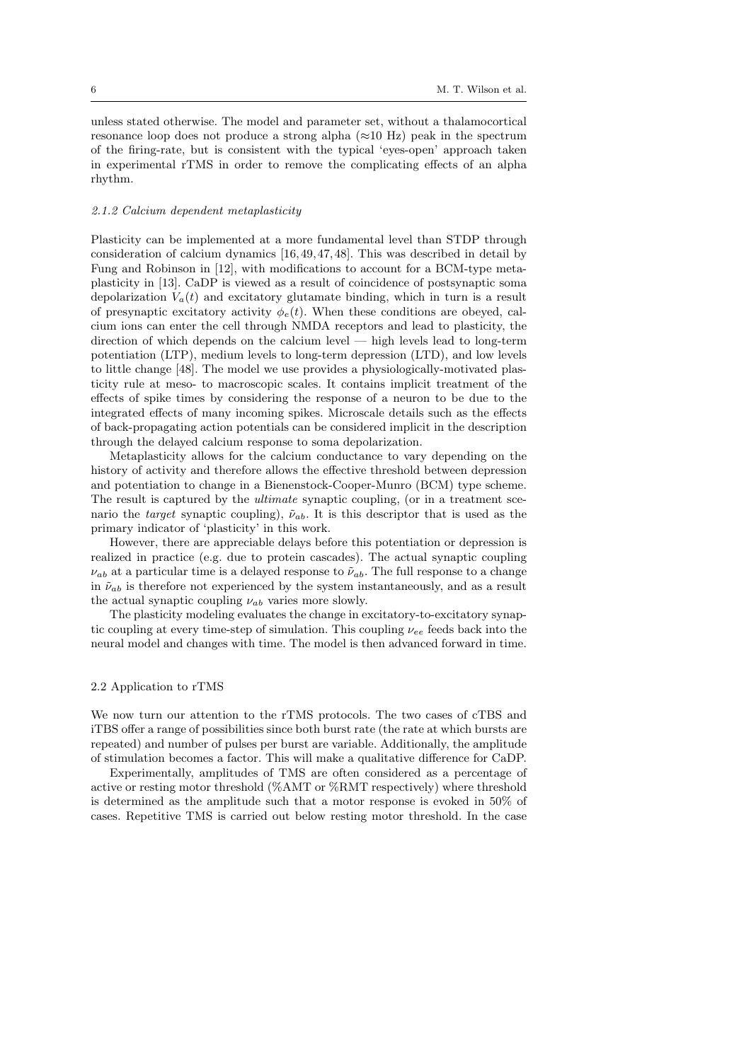unless stated otherwise. The model and parameter set, without a thalamocortical resonance loop does not produce a strong alpha  $(\approx 10 \text{ Hz})$  peak in the spectrum of the firing-rate, but is consistent with the typical 'eyes-open' approach taken in experimental rTMS in order to remove the complicating effects of an alpha rhythm.

## 2.1.2 Calcium dependent metaplasticity

Plasticity can be implemented at a more fundamental level than STDP through consideration of calcium dynamics [16, 49, 47, 48]. This was described in detail by Fung and Robinson in [12], with modifications to account for a BCM-type metaplasticity in [13]. CaDP is viewed as a result of coincidence of postsynaptic soma depolarization  $V_a(t)$  and excitatory glutamate binding, which in turn is a result of presynaptic excitatory activity  $\phi_e(t)$ . When these conditions are obeyed, calcium ions can enter the cell through NMDA receptors and lead to plasticity, the direction of which depends on the calcium level — high levels lead to long-term potentiation (LTP), medium levels to long-term depression (LTD), and low levels to little change [48]. The model we use provides a physiologically-motivated plasticity rule at meso- to macroscopic scales. It contains implicit treatment of the effects of spike times by considering the response of a neuron to be due to the integrated effects of many incoming spikes. Microscale details such as the effects of back-propagating action potentials can be considered implicit in the description through the delayed calcium response to soma depolarization.

Metaplasticity allows for the calcium conductance to vary depending on the history of activity and therefore allows the effective threshold between depression and potentiation to change in a Bienenstock-Cooper-Munro (BCM) type scheme. The result is captured by the *ultimate* synaptic coupling, (or in a treatment scenario the *target* synaptic coupling),  $\tilde{\nu}_{ab}$ . It is this descriptor that is used as the primary indicator of 'plasticity' in this work.

However, there are appreciable delays before this potentiation or depression is realized in practice (e.g. due to protein cascades). The actual synaptic coupling  $\nu_{ab}$  at a particular time is a delayed response to  $\tilde{\nu}_{ab}$ . The full response to a change in  $\tilde{\nu}_{ab}$  is therefore not experienced by the system instantaneously, and as a result the actual synaptic coupling  $\nu_{ab}$  varies more slowly.

The plasticity modeling evaluates the change in excitatory-to-excitatory synaptic coupling at every time-step of simulation. This coupling  $\nu_{ee}$  feeds back into the neural model and changes with time. The model is then advanced forward in time.

### 2.2 Application to rTMS

We now turn our attention to the rTMS protocols. The two cases of cTBS and iTBS offer a range of possibilities since both burst rate (the rate at which bursts are repeated) and number of pulses per burst are variable. Additionally, the amplitude of stimulation becomes a factor. This will make a qualitative difference for CaDP.

Experimentally, amplitudes of TMS are often considered as a percentage of active or resting motor threshold (%AMT or %RMT respectively) where threshold is determined as the amplitude such that a motor response is evoked in 50% of cases. Repetitive TMS is carried out below resting motor threshold. In the case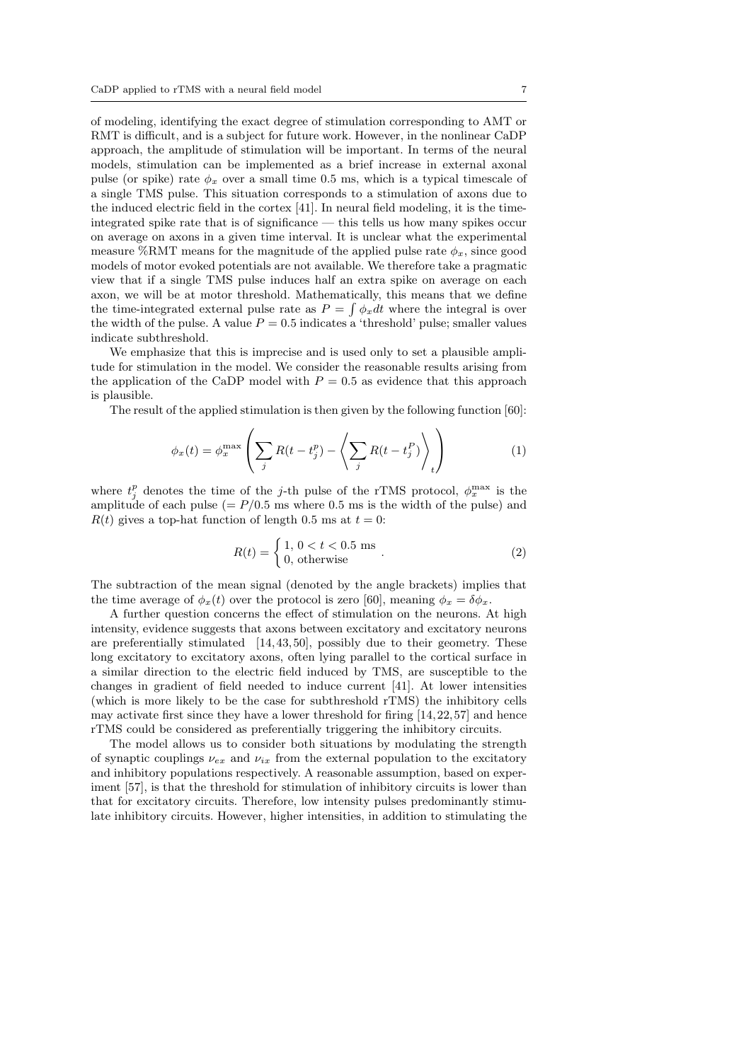of modeling, identifying the exact degree of stimulation corresponding to AMT or RMT is difficult, and is a subject for future work. However, in the nonlinear CaDP approach, the amplitude of stimulation will be important. In terms of the neural models, stimulation can be implemented as a brief increase in external axonal pulse (or spike) rate  $\phi_x$  over a small time 0.5 ms, which is a typical timescale of a single TMS pulse. This situation corresponds to a stimulation of axons due to the induced electric field in the cortex [41]. In neural field modeling, it is the timeintegrated spike rate that is of significance — this tells us how many spikes occur on average on axons in a given time interval. It is unclear what the experimental measure %RMT means for the magnitude of the applied pulse rate  $\phi_x$ , since good models of motor evoked potentials are not available. We therefore take a pragmatic view that if a single TMS pulse induces half an extra spike on average on each axon, we will be at motor threshold. Mathematically, this means that we define the time-integrated external pulse rate as  $P = \int \phi_x dt$  where the integral is over the width of the pulse. A value  $P = 0.5$  indicates a 'threshold' pulse; smaller values indicate subthreshold.

We emphasize that this is imprecise and is used only to set a plausible amplitude for stimulation in the model. We consider the reasonable results arising from the application of the CaDP model with  $P = 0.5$  as evidence that this approach is plausible.

The result of the applied stimulation is then given by the following function [60]:

$$
\phi_x(t) = \phi_x^{\max} \left( \sum_j R(t - t_j^p) - \left\langle \sum_j R(t - t_j^p) \right\rangle_t \right) \tag{1}
$$

where  $t_j^p$  denotes the time of the j-th pulse of the rTMS protocol,  $\phi_x^{\max}$  is the amplitude of each pulse ( $= P/0.5$  ms where 0.5 ms is the width of the pulse) and  $R(t)$  gives a top-hat function of length 0.5 ms at  $t = 0$ :

$$
R(t) = \begin{cases} 1, 0 < t < 0.5 \text{ ms} \\ 0, \text{ otherwise} \end{cases} . \tag{2}
$$

The subtraction of the mean signal (denoted by the angle brackets) implies that the time average of  $\phi_x(t)$  over the protocol is zero [60], meaning  $\phi_x = \delta \phi_x$ .

A further question concerns the effect of stimulation on the neurons. At high intensity, evidence suggests that axons between excitatory and excitatory neurons are preferentially stimulated  $[14, 43, 50]$ , possibly due to their geometry. These long excitatory to excitatory axons, often lying parallel to the cortical surface in a similar direction to the electric field induced by TMS, are susceptible to the changes in gradient of field needed to induce current [41]. At lower intensities (which is more likely to be the case for subthreshold rTMS) the inhibitory cells may activate first since they have a lower threshold for firing [14, 22, 57] and hence rTMS could be considered as preferentially triggering the inhibitory circuits.

The model allows us to consider both situations by modulating the strength of synaptic couplings  $\nu_{ex}$  and  $\nu_{ix}$  from the external population to the excitatory and inhibitory populations respectively. A reasonable assumption, based on experiment [57], is that the threshold for stimulation of inhibitory circuits is lower than that for excitatory circuits. Therefore, low intensity pulses predominantly stimulate inhibitory circuits. However, higher intensities, in addition to stimulating the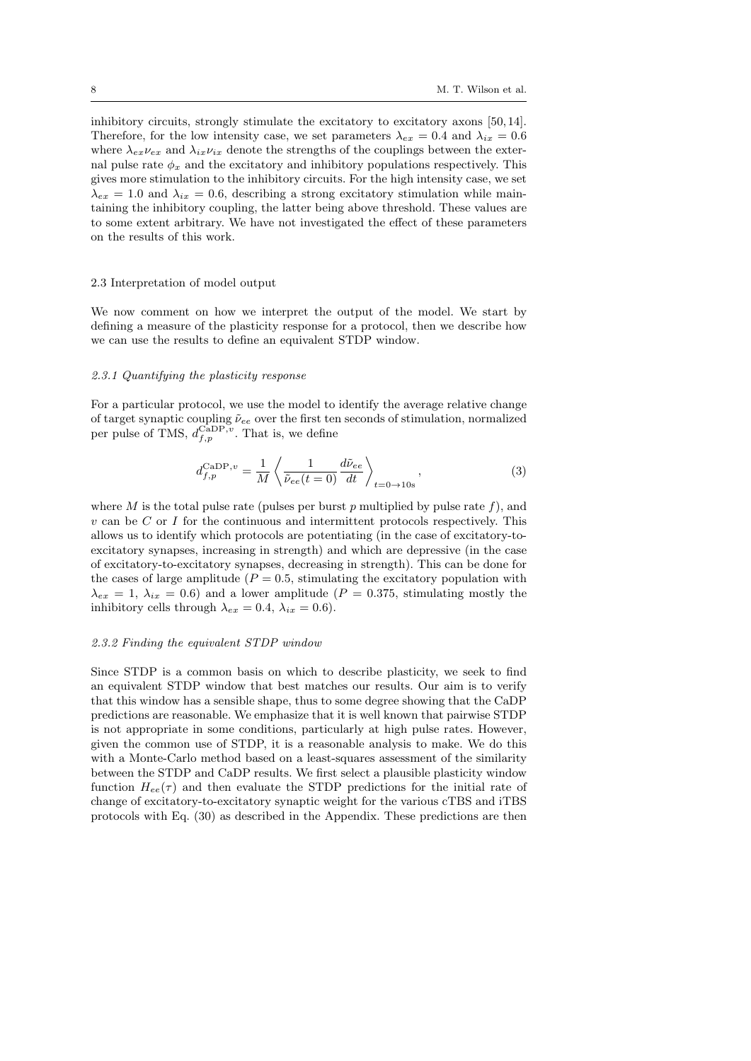inhibitory circuits, strongly stimulate the excitatory to excitatory axons [50, 14]. Therefore, for the low intensity case, we set parameters  $\lambda_{ex} = 0.4$  and  $\lambda_{ix} = 0.6$ where  $\lambda_{ex}\nu_{ex}$  and  $\lambda_{ix}\nu_{ix}$  denote the strengths of the couplings between the external pulse rate  $\phi_x$  and the excitatory and inhibitory populations respectively. This gives more stimulation to the inhibitory circuits. For the high intensity case, we set  $\lambda_{ex} = 1.0$  and  $\lambda_{ix} = 0.6$ , describing a strong excitatory stimulation while maintaining the inhibitory coupling, the latter being above threshold. These values are to some extent arbitrary. We have not investigated the effect of these parameters on the results of this work.

#### 2.3 Interpretation of model output

We now comment on how we interpret the output of the model. We start by defining a measure of the plasticity response for a protocol, then we describe how we can use the results to define an equivalent STDP window.

#### 2.3.1 Quantifying the plasticity response

For a particular protocol, we use the model to identify the average relative change of target synaptic coupling  $\tilde{\nu}_{ee}$  over the first ten seconds of stimulation, normalized per pulse of TMS,  $d_{f,p}^{\text{CaDP},v}$ . That is, we define

$$
d_{f,p}^{\text{CaDP},v} = \frac{1}{M} \left\langle \frac{1}{\tilde{\nu}_{ee}(t=0)} \frac{d\tilde{\nu}_{ee}}{dt} \right\rangle_{t=0 \to 10s}, \qquad (3)
$$

where M is the total pulse rate (pulses per burst  $p$  multiplied by pulse rate  $f$ ), and  $v \text{ can be } C \text{ or } I$  for the continuous and intermittent protocols respectively. This allows us to identify which protocols are potentiating (in the case of excitatory-toexcitatory synapses, increasing in strength) and which are depressive (in the case of excitatory-to-excitatory synapses, decreasing in strength). This can be done for the cases of large amplitude ( $P = 0.5$ , stimulating the excitatory population with  $\lambda_{ex} = 1, \lambda_{ix} = 0.6$ ) and a lower amplitude ( $P = 0.375$ , stimulating mostly the inhibitory cells through  $\lambda_{ex} = 0.4$ ,  $\lambda_{ix} = 0.6$ ).

### 2.3.2 Finding the equivalent STDP window

Since STDP is a common basis on which to describe plasticity, we seek to find an equivalent STDP window that best matches our results. Our aim is to verify that this window has a sensible shape, thus to some degree showing that the CaDP predictions are reasonable. We emphasize that it is well known that pairwise STDP is not appropriate in some conditions, particularly at high pulse rates. However, given the common use of STDP, it is a reasonable analysis to make. We do this with a Monte-Carlo method based on a least-squares assessment of the similarity between the STDP and CaDP results. We first select a plausible plasticity window function  $H_{ee}(\tau)$  and then evaluate the STDP predictions for the initial rate of change of excitatory-to-excitatory synaptic weight for the various cTBS and iTBS protocols with Eq. (30) as described in the Appendix. These predictions are then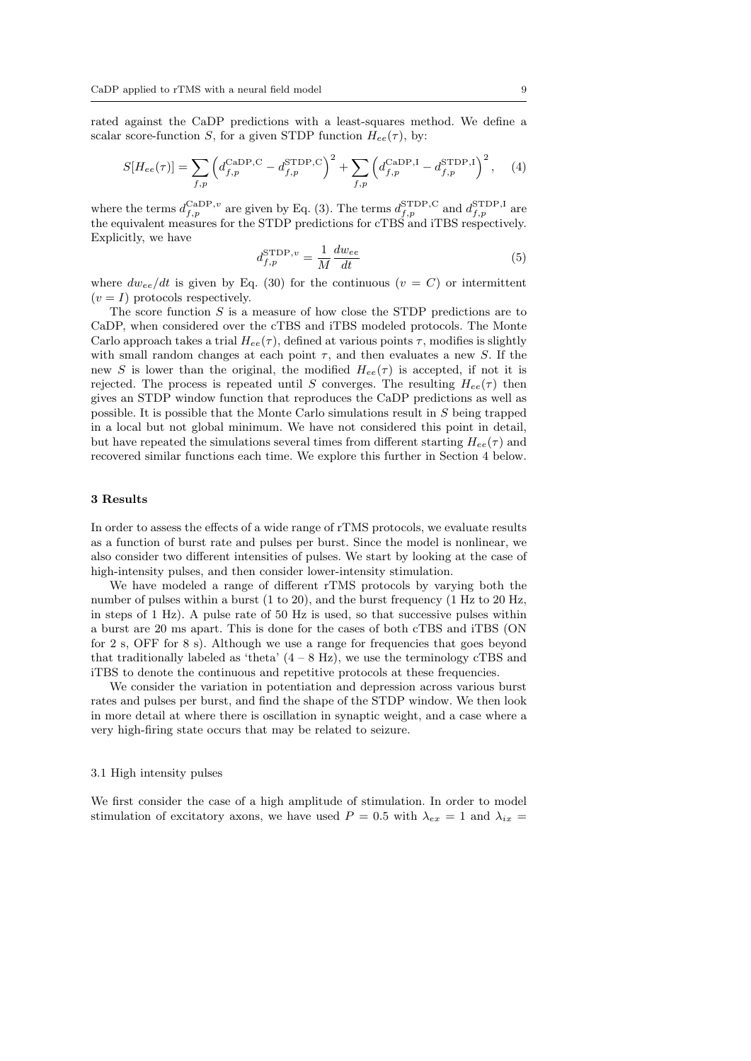rated against the CaDP predictions with a least-squares method. We define a scalar score-function S, for a given STDP function  $H_{ee}(\tau)$ , by:

$$
S[H_{ee}(\tau)] = \sum_{f,p} \left( d_{f,p}^{\text{CADP},C} - d_{f,p}^{\text{STDP},C} \right)^2 + \sum_{f,p} \left( d_{f,p}^{\text{CADP},I} - d_{f,p}^{\text{STDP},I} \right)^2, \quad (4)
$$

where the terms  $d_{f,p}^{\text{CaDP},v}$  are given by Eq. (3). The terms  $d_{f,p}^{\text{STDP},C}$  and  $d_{f,p}^{\text{STDP},I}$  are the equivalent measures for the STDP predictions for cTBS and iTBS respectively. Explicitly, we have

$$
d_{f,p}^{\text{STDP},v} = \frac{1}{M} \frac{dw_{ee}}{dt} \tag{5}
$$

where  $dw_{ee}/dt$  is given by Eq. (30) for the continuous  $(v = C)$  or intermittent  $(v = I)$  protocols respectively.

The score function  $S$  is a measure of how close the STDP predictions are to CaDP, when considered over the cTBS and iTBS modeled protocols. The Monte Carlo approach takes a trial  $Hee(\tau)$ , defined at various points  $\tau$ , modifies is slightly with small random changes at each point  $\tau$ , and then evaluates a new S. If the new S is lower than the original, the modified  $H_{ee}(\tau)$  is accepted, if not it is rejected. The process is repeated until S converges. The resulting  $H_{ee}(\tau)$  then gives an STDP window function that reproduces the CaDP predictions as well as possible. It is possible that the Monte Carlo simulations result in S being trapped in a local but not global minimum. We have not considered this point in detail, but have repeated the simulations several times from different starting  $H_{ee}(\tau)$  and recovered similar functions each time. We explore this further in Section 4 below.

# 3 Results

In order to assess the effects of a wide range of rTMS protocols, we evaluate results as a function of burst rate and pulses per burst. Since the model is nonlinear, we also consider two different intensities of pulses. We start by looking at the case of high-intensity pulses, and then consider lower-intensity stimulation.

We have modeled a range of different rTMS protocols by varying both the number of pulses within a burst (1 to 20), and the burst frequency (1 Hz to 20 Hz, in steps of 1 Hz). A pulse rate of 50 Hz is used, so that successive pulses within a burst are 20 ms apart. This is done for the cases of both cTBS and iTBS (ON for 2 s, OFF for 8 s). Although we use a range for frequencies that goes beyond that traditionally labeled as 'theta'  $(4 - 8$  Hz), we use the terminology cTBS and iTBS to denote the continuous and repetitive protocols at these frequencies.

We consider the variation in potentiation and depression across various burst rates and pulses per burst, and find the shape of the STDP window. We then look in more detail at where there is oscillation in synaptic weight, and a case where a very high-firing state occurs that may be related to seizure.

#### 3.1 High intensity pulses

We first consider the case of a high amplitude of stimulation. In order to model stimulation of excitatory axons, we have used  $P = 0.5$  with  $\lambda_{ex} = 1$  and  $\lambda_{ix} =$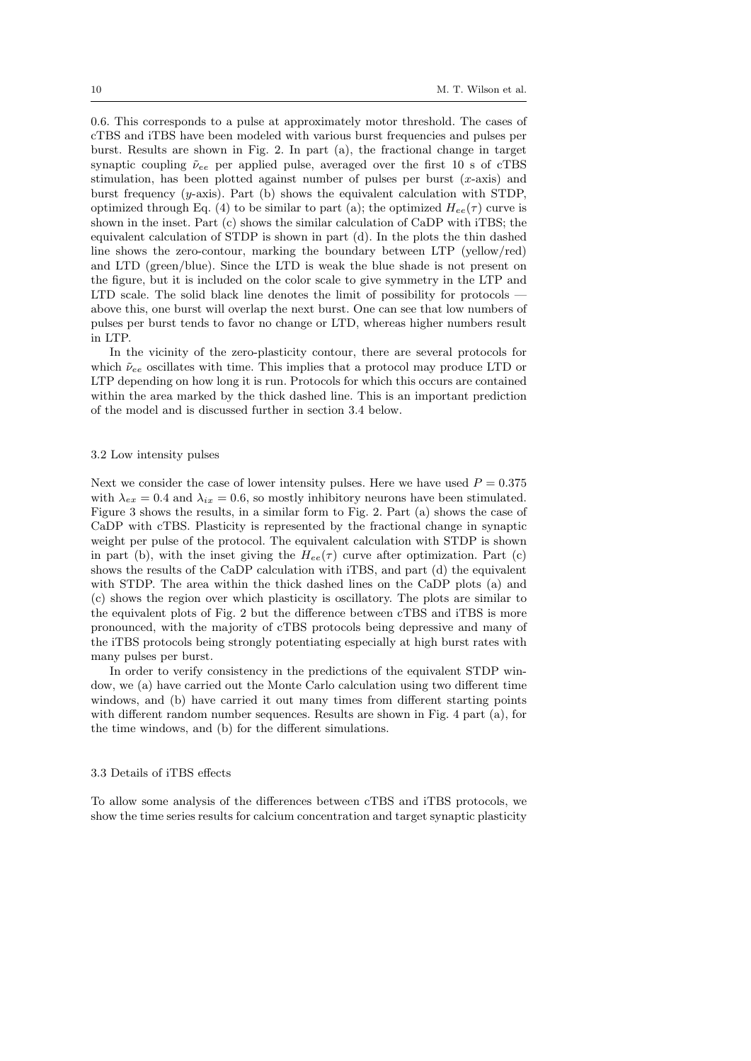0.6. This corresponds to a pulse at approximately motor threshold. The cases of cTBS and iTBS have been modeled with various burst frequencies and pulses per burst. Results are shown in Fig. 2. In part (a), the fractional change in target synaptic coupling  $\tilde{\nu}_{ee}$  per applied pulse, averaged over the first 10 s of cTBS stimulation, has been plotted against number of pulses per burst  $(x\text{-axis})$  and burst frequency  $(y\text{-axis})$ . Part (b) shows the equivalent calculation with STDP, optimized through Eq. (4) to be similar to part (a); the optimized  $H_{ee}(\tau)$  curve is shown in the inset. Part (c) shows the similar calculation of CaDP with iTBS; the equivalent calculation of STDP is shown in part (d). In the plots the thin dashed line shows the zero-contour, marking the boundary between LTP (yellow/red) and LTD (green/blue). Since the LTD is weak the blue shade is not present on the figure, but it is included on the color scale to give symmetry in the LTP and LTD scale. The solid black line denotes the limit of possibility for protocols above this, one burst will overlap the next burst. One can see that low numbers of pulses per burst tends to favor no change or LTD, whereas higher numbers result in LTP.

In the vicinity of the zero-plasticity contour, there are several protocols for which  $\tilde{\nu}_{ee}$  oscillates with time. This implies that a protocol may produce LTD or LTP depending on how long it is run. Protocols for which this occurs are contained within the area marked by the thick dashed line. This is an important prediction of the model and is discussed further in section 3.4 below.

#### 3.2 Low intensity pulses

Next we consider the case of lower intensity pulses. Here we have used  $P = 0.375$ with  $\lambda_{ex} = 0.4$  and  $\lambda_{ix} = 0.6$ , so mostly inhibitory neurons have been stimulated. Figure 3 shows the results, in a similar form to Fig. 2. Part (a) shows the case of CaDP with cTBS. Plasticity is represented by the fractional change in synaptic weight per pulse of the protocol. The equivalent calculation with STDP is shown in part (b), with the inset giving the  $H_{ee}(\tau)$  curve after optimization. Part (c) shows the results of the CaDP calculation with iTBS, and part (d) the equivalent with STDP. The area within the thick dashed lines on the CaDP plots (a) and (c) shows the region over which plasticity is oscillatory. The plots are similar to the equivalent plots of Fig. 2 but the difference between cTBS and iTBS is more pronounced, with the majority of cTBS protocols being depressive and many of the iTBS protocols being strongly potentiating especially at high burst rates with many pulses per burst.

In order to verify consistency in the predictions of the equivalent STDP window, we (a) have carried out the Monte Carlo calculation using two different time windows, and (b) have carried it out many times from different starting points with different random number sequences. Results are shown in Fig. 4 part (a), for the time windows, and (b) for the different simulations.

#### 3.3 Details of iTBS effects

To allow some analysis of the differences between cTBS and iTBS protocols, we show the time series results for calcium concentration and target synaptic plasticity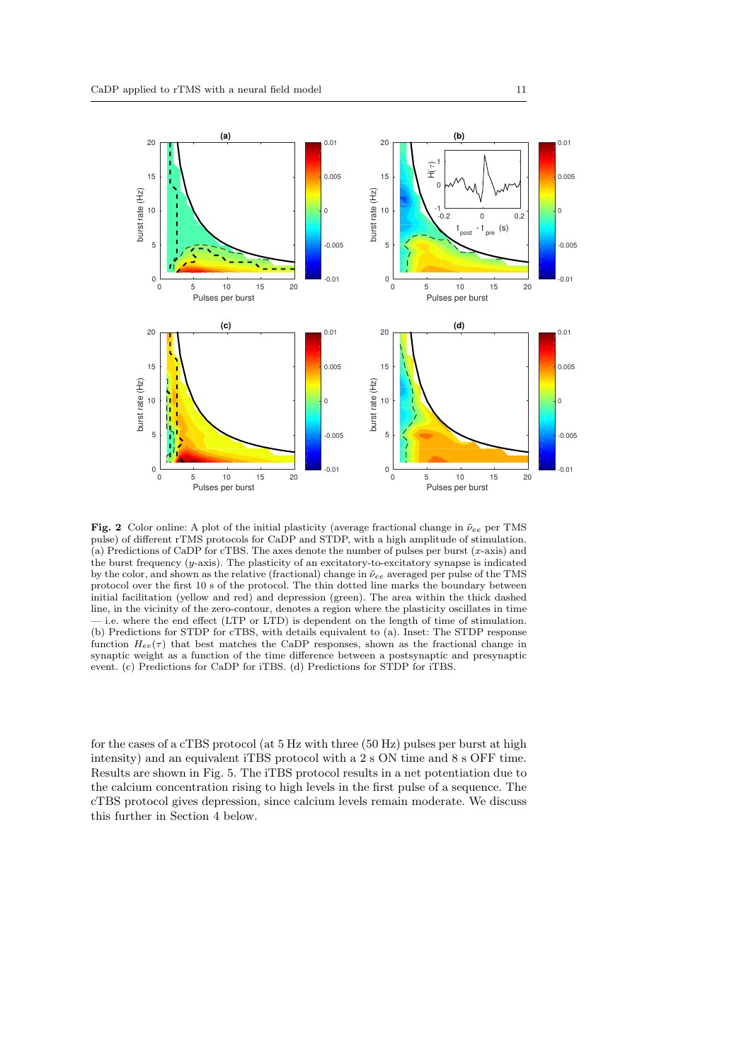

Fig. 2 Color online: A plot of the initial plasticity (average fractional change in  $\tilde{\nu}_{ee}$  per TMS pulse) of different rTMS protocols for CaDP and STDP, with a high amplitude of stimulation. (a) Predictions of CaDP for cTBS. The axes denote the number of pulses per burst (x-axis) and the burst frequency (y-axis). The plasticity of an excitatory-to-excitatory synapse is indicated by the color, and shown as the relative (fractional) change in  $\tilde{\nu}_{ee}$  averaged per pulse of the TMS protocol over the first 10 s of the protocol. The thin dotted line marks the boundary between initial facilitation (yellow and red) and depression (green). The area within the thick dashed line, in the vicinity of the zero-contour, denotes a region where the plasticity oscillates in time — i.e. where the end effect (LTP or LTD) is dependent on the length of time of stimulation. (b) Predictions for STDP for cTBS, with details equivalent to (a). Inset: The STDP response function  $H_{ee}(\tau)$  that best matches the CaDP responses, shown as the fractional change in synaptic weight as a function of the time difference between a postsynaptic and presynaptic event. (c) Predictions for CaDP for iTBS. (d) Predictions for STDP for iTBS.

for the cases of a cTBS protocol (at 5 Hz with three (50 Hz) pulses per burst at high intensity) and an equivalent iTBS protocol with a 2 s ON time and 8 s OFF time. Results are shown in Fig. 5. The iTBS protocol results in a net potentiation due to the calcium concentration rising to high levels in the first pulse of a sequence. The cTBS protocol gives depression, since calcium levels remain moderate. We discuss this further in Section 4 below.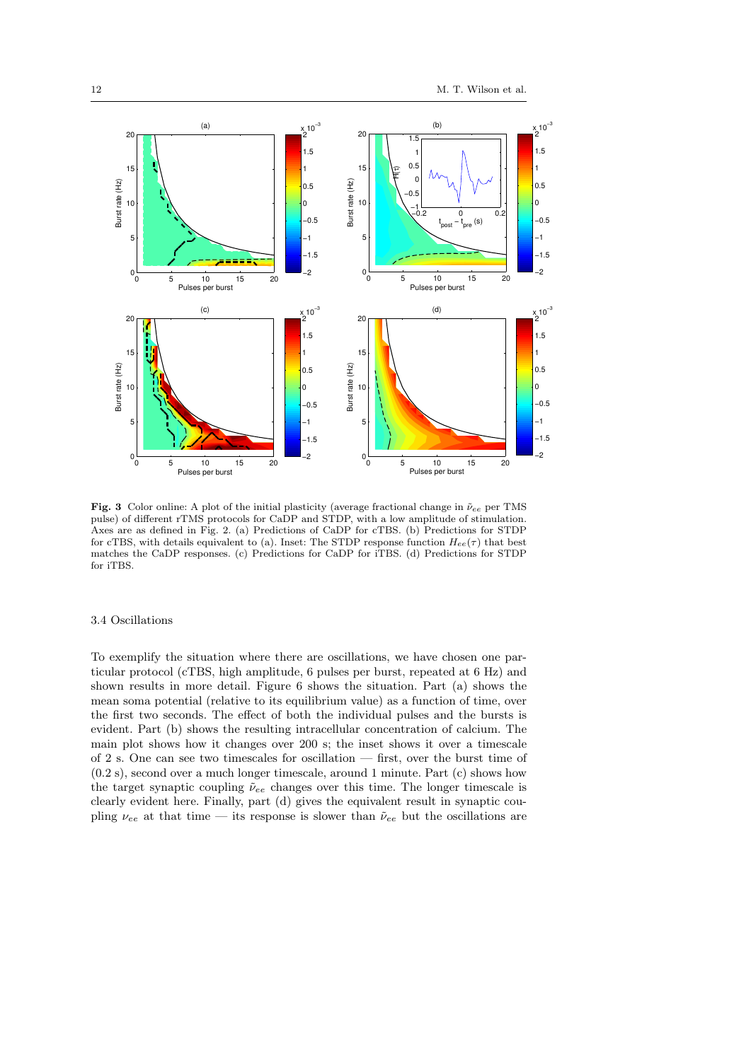

Fig. 3 Color online: A plot of the initial plasticity (average fractional change in  $\tilde{\nu}_{ee}$  per TMS pulse) of different rTMS protocols for CaDP and STDP, with a low amplitude of stimulation. Axes are as defined in Fig. 2. (a) Predictions of CaDP for cTBS. (b) Predictions for STDP for cTBS, with details equivalent to (a). Inset: The STDP response function  $H_{ee}(\tau)$  that best matches the CaDP responses. (c) Predictions for CaDP for iTBS. (d) Predictions for STDP for iTBS.

#### 3.4 Oscillations

To exemplify the situation where there are oscillations, we have chosen one particular protocol (cTBS, high amplitude, 6 pulses per burst, repeated at 6 Hz) and shown results in more detail. Figure 6 shows the situation. Part (a) shows the mean soma potential (relative to its equilibrium value) as a function of time, over the first two seconds. The effect of both the individual pulses and the bursts is evident. Part (b) shows the resulting intracellular concentration of calcium. The main plot shows how it changes over 200 s; the inset shows it over a timescale of 2 s. One can see two timescales for oscillation — first, over the burst time of (0.2 s), second over a much longer timescale, around 1 minute. Part (c) shows how the target synaptic coupling  $\tilde{\nu}_{ee}$  changes over this time. The longer timescale is clearly evident here. Finally, part (d) gives the equivalent result in synaptic coupling  $\nu_{ee}$  at that time — its response is slower than  $\tilde{\nu}_{ee}$  but the oscillations are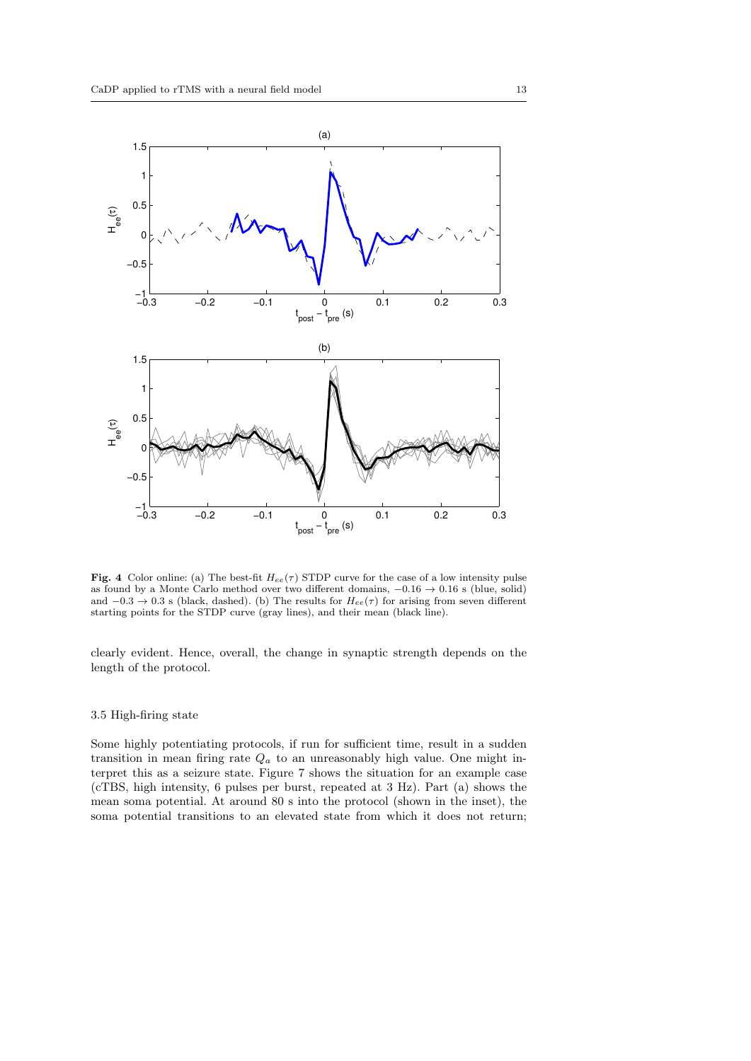

Fig. 4 Color online: (a) The best-fit  $H_{ee}(\tau)$  STDP curve for the case of a low intensity pulse as found by a Monte Carlo method over two different domains, −0.16 → 0.16 s (blue, solid) and  $-0.3 \rightarrow 0.3$  s (black, dashed). (b) The results for  $H_{ee}(\tau)$  for arising from seven different starting points for the STDP curve (gray lines), and their mean (black line).

clearly evident. Hence, overall, the change in synaptic strength depends on the length of the protocol.

## 3.5 High-firing state

Some highly potentiating protocols, if run for sufficient time, result in a sudden transition in mean firing rate  $Q_a$  to an unreasonably high value. One might interpret this as a seizure state. Figure 7 shows the situation for an example case (cTBS, high intensity, 6 pulses per burst, repeated at 3 Hz). Part (a) shows the mean soma potential. At around 80 s into the protocol (shown in the inset), the soma potential transitions to an elevated state from which it does not return;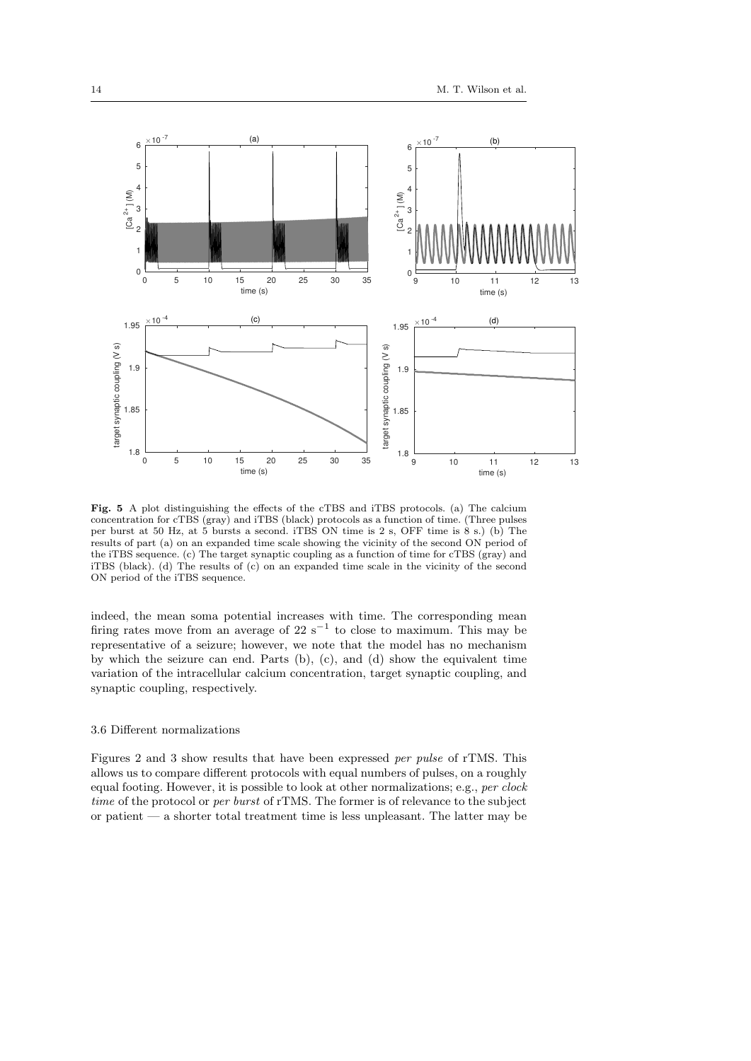

Fig. 5 A plot distinguishing the effects of the cTBS and iTBS protocols. (a) The calcium concentration for cTBS (gray) and iTBS (black) protocols as a function of time. (Three pulses per burst at 50 Hz, at 5 bursts a second. iTBS ON time is 2 s, OFF time is 8 s.) (b) The results of part (a) on an expanded time scale showing the vicinity of the second ON period of the iTBS sequence. (c) The target synaptic coupling as a function of time for cTBS (gray) and iTBS (black). (d) The results of (c) on an expanded time scale in the vicinity of the second ON period of the iTBS sequence.

indeed, the mean soma potential increases with time. The corresponding mean firing rates move from an average of 22  $s^{-1}$  to close to maximum. This may be representative of a seizure; however, we note that the model has no mechanism by which the seizure can end. Parts (b), (c), and (d) show the equivalent time variation of the intracellular calcium concentration, target synaptic coupling, and synaptic coupling, respectively.

## 3.6 Different normalizations

Figures 2 and 3 show results that have been expressed per pulse of rTMS. This allows us to compare different protocols with equal numbers of pulses, on a roughly equal footing. However, it is possible to look at other normalizations; e.g., per clock time of the protocol or per burst of rTMS. The former is of relevance to the subject or patient — a shorter total treatment time is less unpleasant. The latter may be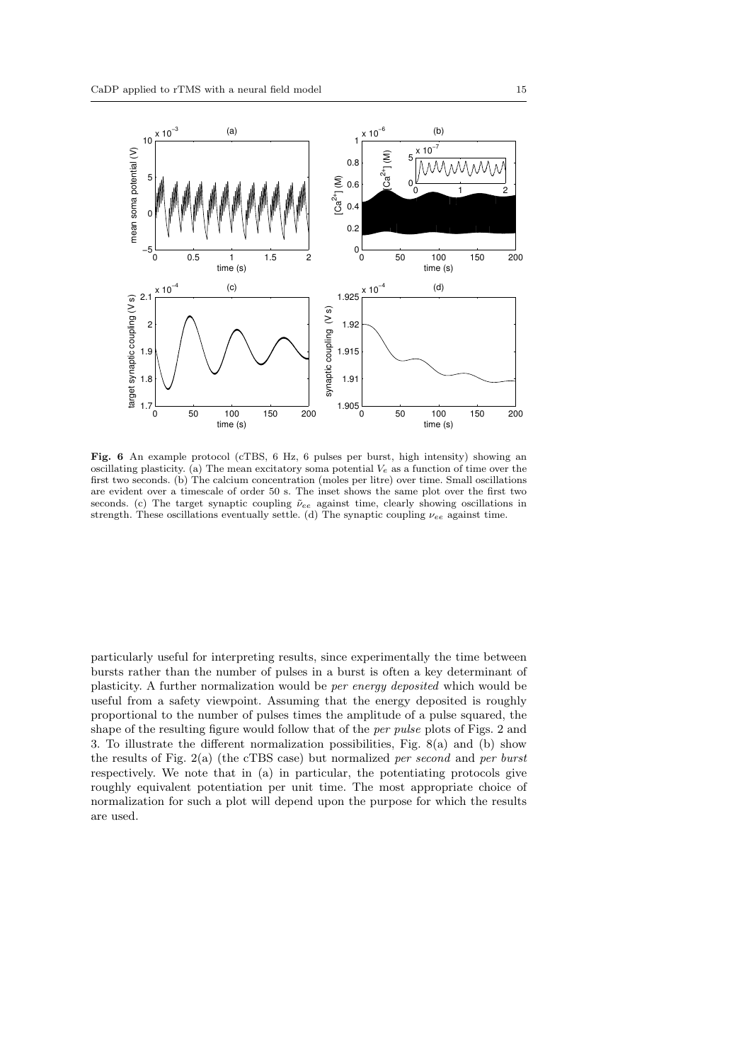

Fig. 6 An example protocol (cTBS, 6 Hz, 6 pulses per burst, high intensity) showing an oscillating plasticity. (a) The mean excitatory soma potential  $V_e$  as a function of time over the first two seconds. (b) The calcium concentration (moles per litre) over time. Small oscillations are evident over a timescale of order 50 s. The inset shows the same plot over the first two seconds. (c) The target synaptic coupling  $\tilde{\nu}_{ee}$  against time, clearly showing oscillations in strength. These oscillations eventually settle. (d) The synaptic coupling  $\nu_{ee}$  against time.

particularly useful for interpreting results, since experimentally the time between bursts rather than the number of pulses in a burst is often a key determinant of plasticity. A further normalization would be per energy deposited which would be useful from a safety viewpoint. Assuming that the energy deposited is roughly proportional to the number of pulses times the amplitude of a pulse squared, the shape of the resulting figure would follow that of the per pulse plots of Figs. 2 and 3. To illustrate the different normalization possibilities, Fig. 8(a) and (b) show the results of Fig.  $2(a)$  (the cTBS case) but normalized *per second* and *per burst* respectively. We note that in (a) in particular, the potentiating protocols give roughly equivalent potentiation per unit time. The most appropriate choice of normalization for such a plot will depend upon the purpose for which the results are used.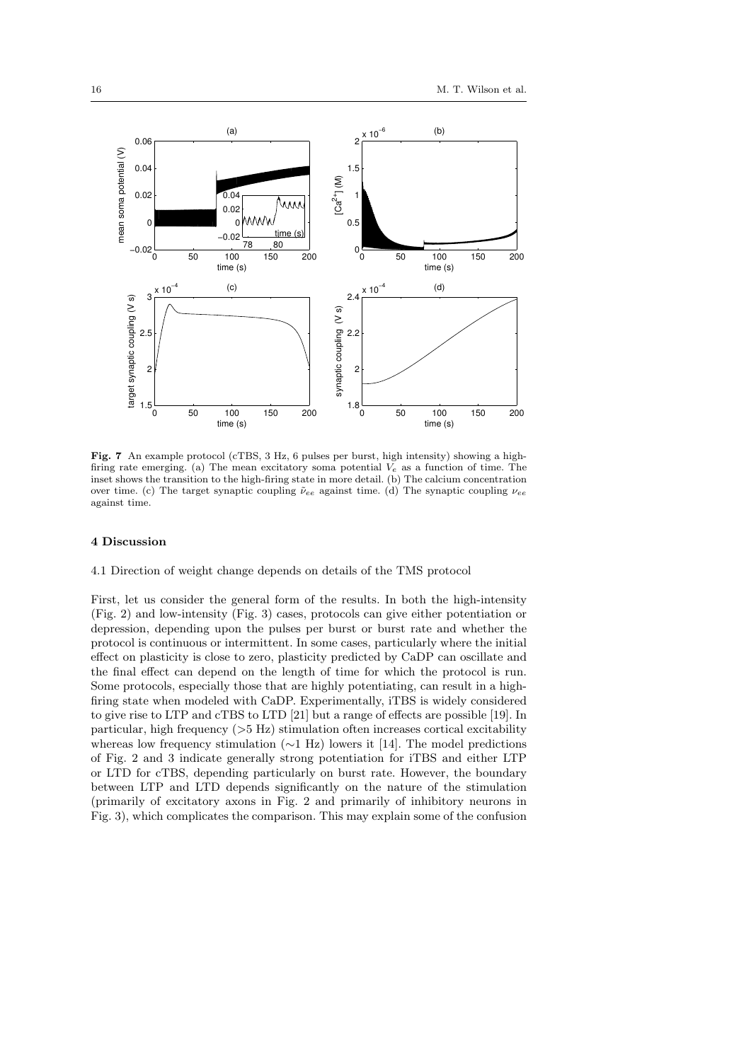

Fig. 7 An example protocol (cTBS, 3 Hz, 6 pulses per burst, high intensity) showing a highfiring rate emerging. (a) The mean excitatory soma potential  $V_e$  as a function of time. The inset shows the transition to the high-firing state in more detail. (b) The calcium concentration over time. (c) The target synaptic coupling  $\tilde{\nu}_{ee}$  against time. (d) The synaptic coupling  $\nu_{ee}$ against time.

### 4 Discussion

4.1 Direction of weight change depends on details of the TMS protocol

First, let us consider the general form of the results. In both the high-intensity (Fig. 2) and low-intensity (Fig. 3) cases, protocols can give either potentiation or depression, depending upon the pulses per burst or burst rate and whether the protocol is continuous or intermittent. In some cases, particularly where the initial effect on plasticity is close to zero, plasticity predicted by CaDP can oscillate and the final effect can depend on the length of time for which the protocol is run. Some protocols, especially those that are highly potentiating, can result in a highfiring state when modeled with CaDP. Experimentally, iTBS is widely considered to give rise to LTP and cTBS to LTD [21] but a range of effects are possible [19]. In particular, high frequency  $($ >5 Hz) stimulation often increases cortical excitability whereas low frequency stimulation (∼1 Hz) lowers it [14]. The model predictions of Fig. 2 and 3 indicate generally strong potentiation for iTBS and either LTP or LTD for cTBS, depending particularly on burst rate. However, the boundary between LTP and LTD depends significantly on the nature of the stimulation (primarily of excitatory axons in Fig. 2 and primarily of inhibitory neurons in Fig. 3), which complicates the comparison. This may explain some of the confusion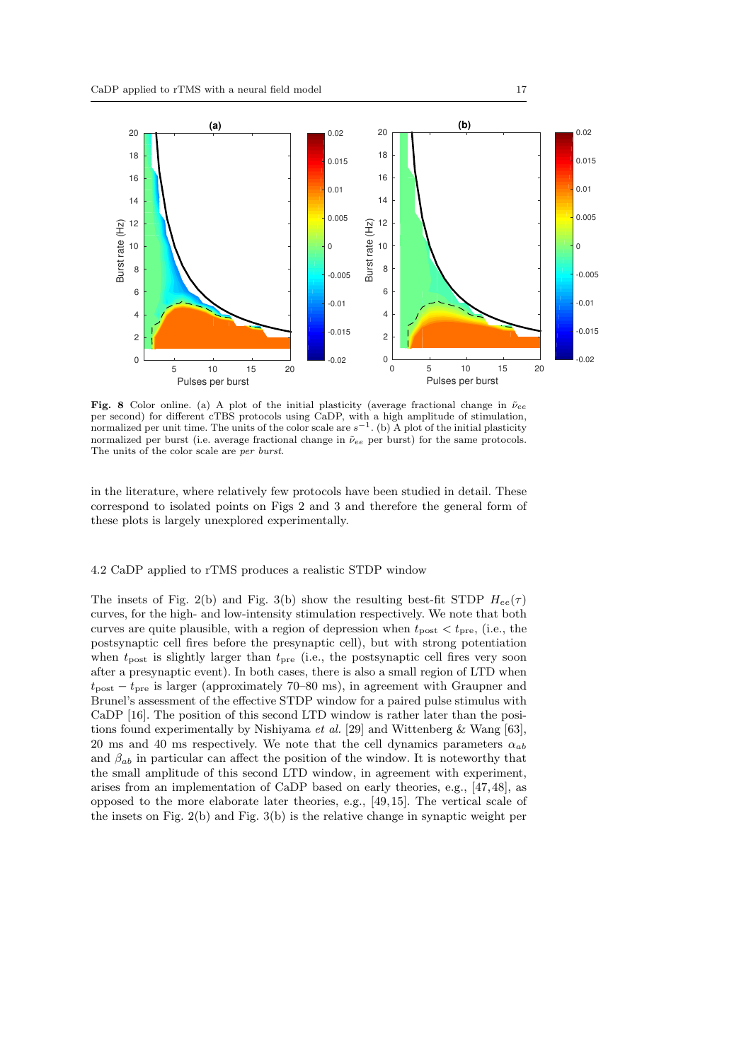

Fig. 8 Color online. (a) A plot of the initial plasticity (average fractional change in  $\tilde{\nu}_{ee}$ per second) for different cTBS protocols using CaDP, with a high amplitude of stimulation, normalized per unit time. The units of the color scale are  $s^{-1}$ . (b) A plot of the initial plasticity normalized per burst (i.e. average fractional change in  $\tilde{\nu}_{ee}$  per burst) for the same protocols. The units of the color scale are per burst.

in the literature, where relatively few protocols have been studied in detail. These correspond to isolated points on Figs 2 and 3 and therefore the general form of these plots is largely unexplored experimentally.

# 4.2 CaDP applied to rTMS produces a realistic STDP window

The insets of Fig. 2(b) and Fig. 3(b) show the resulting best-fit STDP  $H_{ee}(\tau)$ curves, for the high- and low-intensity stimulation respectively. We note that both curves are quite plausible, with a region of depression when  $t_{\text{post}} < t_{\text{pre}}$ , (i.e., the postsynaptic cell fires before the presynaptic cell), but with strong potentiation when  $t_{\text{post}}$  is slightly larger than  $t_{\text{pre}}$  (i.e., the postsynaptic cell fires very soon after a presynaptic event). In both cases, there is also a small region of LTD when  $t_{\text{post}} - t_{\text{pre}}$  is larger (approximately 70–80 ms), in agreement with Graupner and Brunel's assessment of the effective STDP window for a paired pulse stimulus with CaDP [16]. The position of this second LTD window is rather later than the positions found experimentally by Nishiyama et al. [29] and Wittenberg & Wang [63], 20 ms and 40 ms respectively. We note that the cell dynamics parameters  $\alpha_{ab}$ and  $\beta_{ab}$  in particular can affect the position of the window. It is noteworthy that the small amplitude of this second LTD window, in agreement with experiment, arises from an implementation of CaDP based on early theories, e.g., [47, 48], as opposed to the more elaborate later theories, e.g., [49, 15]. The vertical scale of the insets on Fig. 2(b) and Fig. 3(b) is the relative change in synaptic weight per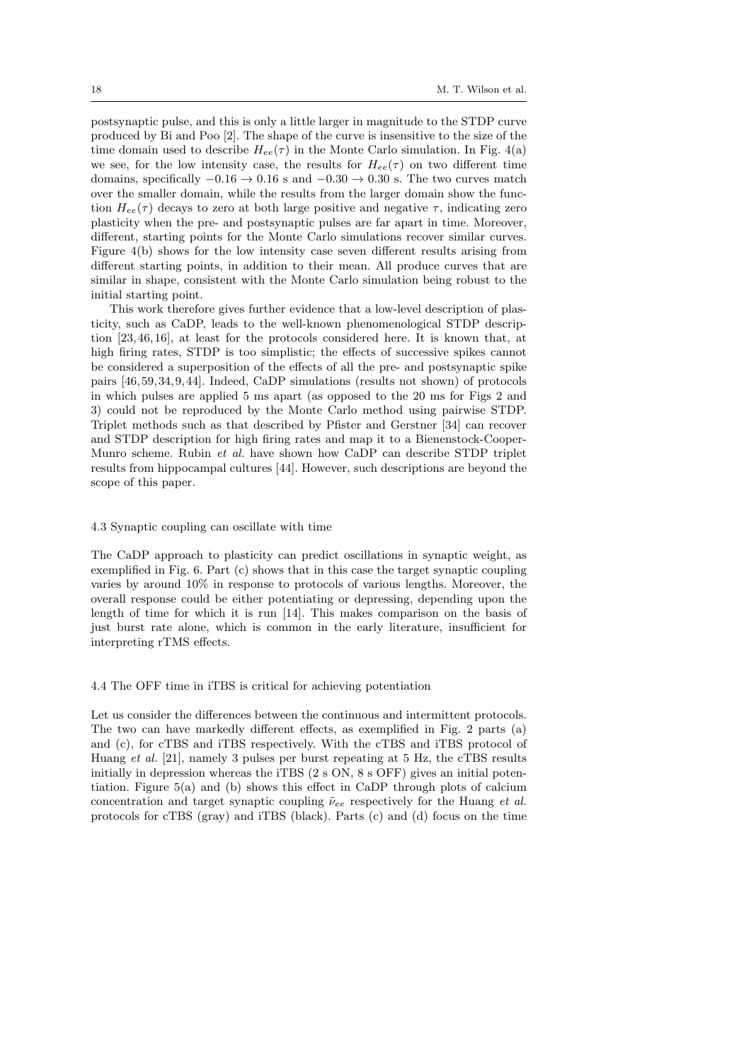postsynaptic pulse, and this is only a little larger in magnitude to the STDP curve produced by Bi and Poo [2]. The shape of the curve is insensitive to the size of the time domain used to describe  $H_{ee}(\tau)$  in the Monte Carlo simulation. In Fig. 4(a) we see, for the low intensity case, the results for  $H_{ee}(\tau)$  on two different time domains, specifically  $-0.16 \rightarrow 0.16$  s and  $-0.30 \rightarrow 0.30$  s. The two curves match over the smaller domain, while the results from the larger domain show the function  $H_{ee}(\tau)$  decays to zero at both large positive and negative  $\tau$ , indicating zero plasticity when the pre- and postsynaptic pulses are far apart in time. Moreover, different, starting points for the Monte Carlo simulations recover similar curves. Figure 4(b) shows for the low intensity case seven different results arising from different starting points, in addition to their mean. All produce curves that are similar in shape, consistent with the Monte Carlo simulation being robust to the initial starting point.

This work therefore gives further evidence that a low-level description of plasticity, such as CaDP, leads to the well-known phenomenological STDP description [23, 46, 16], at least for the protocols considered here. It is known that, at high firing rates, STDP is too simplistic; the effects of successive spikes cannot be considered a superposition of the effects of all the pre- and postsynaptic spike pairs [46, 59, 34, 9, 44]. Indeed, CaDP simulations (results not shown) of protocols in which pulses are applied 5 ms apart (as opposed to the 20 ms for Figs 2 and 3) could not be reproduced by the Monte Carlo method using pairwise STDP. Triplet methods such as that described by Pfister and Gerstner [34] can recover and STDP description for high firing rates and map it to a Bienenstock-Cooper-Munro scheme. Rubin et al. have shown how CaDP can describe STDP triplet results from hippocampal cultures [44]. However, such descriptions are beyond the scope of this paper.

#### 4.3 Synaptic coupling can oscillate with time

The CaDP approach to plasticity can predict oscillations in synaptic weight, as exemplified in Fig. 6. Part (c) shows that in this case the target synaptic coupling varies by around 10% in response to protocols of various lengths. Moreover, the overall response could be either potentiating or depressing, depending upon the length of time for which it is run [14]. This makes comparison on the basis of just burst rate alone, which is common in the early literature, insufficient for interpreting rTMS effects.

### 4.4 The OFF time in iTBS is critical for achieving potentiation

Let us consider the differences between the continuous and intermittent protocols. The two can have markedly different effects, as exemplified in Fig. 2 parts (a) and (c), for cTBS and iTBS respectively. With the cTBS and iTBS protocol of Huang et al. [21], namely 3 pulses per burst repeating at 5 Hz, the cTBS results initially in depression whereas the iTBS (2 s ON, 8 s OFF) gives an initial potentiation. Figure 5(a) and (b) shows this effect in CaDP through plots of calcium concentration and target synaptic coupling  $\tilde{\nu}_{ee}$  respectively for the Huang *et al.* protocols for cTBS (gray) and iTBS (black). Parts (c) and (d) focus on the time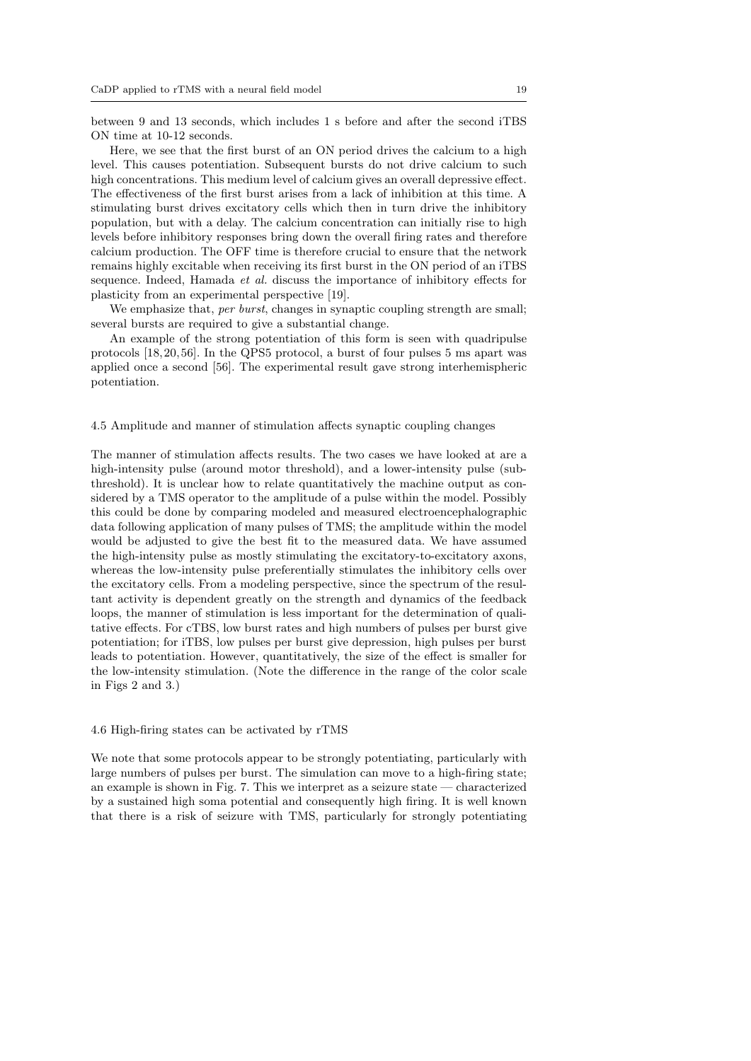between 9 and 13 seconds, which includes 1 s before and after the second iTBS ON time at 10-12 seconds.

Here, we see that the first burst of an ON period drives the calcium to a high level. This causes potentiation. Subsequent bursts do not drive calcium to such high concentrations. This medium level of calcium gives an overall depressive effect. The effectiveness of the first burst arises from a lack of inhibition at this time. A stimulating burst drives excitatory cells which then in turn drive the inhibitory population, but with a delay. The calcium concentration can initially rise to high levels before inhibitory responses bring down the overall firing rates and therefore calcium production. The OFF time is therefore crucial to ensure that the network remains highly excitable when receiving its first burst in the ON period of an iTBS sequence. Indeed, Hamada et al. discuss the importance of inhibitory effects for plasticity from an experimental perspective [19].

We emphasize that, per burst, changes in synaptic coupling strength are small; several bursts are required to give a substantial change.

An example of the strong potentiation of this form is seen with quadripulse protocols [18, 20, 56]. In the QPS5 protocol, a burst of four pulses 5 ms apart was applied once a second [56]. The experimental result gave strong interhemispheric potentiation.

#### 4.5 Amplitude and manner of stimulation affects synaptic coupling changes

The manner of stimulation affects results. The two cases we have looked at are a high-intensity pulse (around motor threshold), and a lower-intensity pulse (subthreshold). It is unclear how to relate quantitatively the machine output as considered by a TMS operator to the amplitude of a pulse within the model. Possibly this could be done by comparing modeled and measured electroencephalographic data following application of many pulses of TMS; the amplitude within the model would be adjusted to give the best fit to the measured data. We have assumed the high-intensity pulse as mostly stimulating the excitatory-to-excitatory axons, whereas the low-intensity pulse preferentially stimulates the inhibitory cells over the excitatory cells. From a modeling perspective, since the spectrum of the resultant activity is dependent greatly on the strength and dynamics of the feedback loops, the manner of stimulation is less important for the determination of qualitative effects. For cTBS, low burst rates and high numbers of pulses per burst give potentiation; for iTBS, low pulses per burst give depression, high pulses per burst leads to potentiation. However, quantitatively, the size of the effect is smaller for the low-intensity stimulation. (Note the difference in the range of the color scale in Figs 2 and 3.)

# 4.6 High-firing states can be activated by rTMS

We note that some protocols appear to be strongly potentiating, particularly with large numbers of pulses per burst. The simulation can move to a high-firing state; an example is shown in Fig. 7. This we interpret as a seizure state — characterized by a sustained high soma potential and consequently high firing. It is well known that there is a risk of seizure with TMS, particularly for strongly potentiating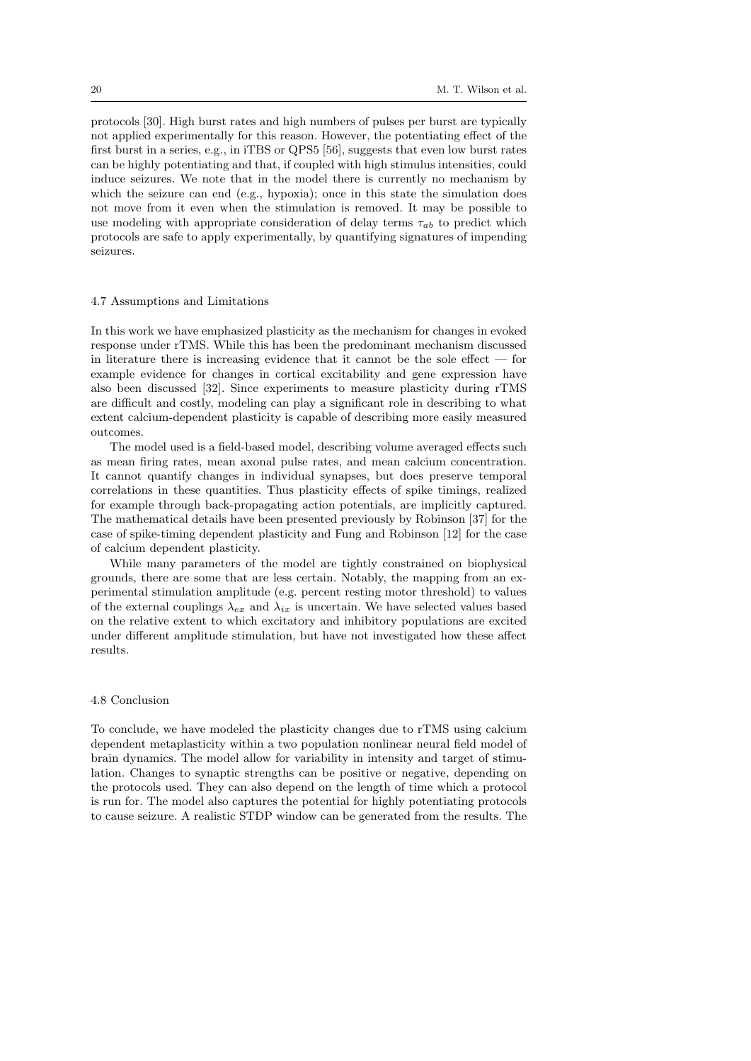protocols [30]. High burst rates and high numbers of pulses per burst are typically not applied experimentally for this reason. However, the potentiating effect of the first burst in a series, e.g., in iTBS or QPS5 [56], suggests that even low burst rates can be highly potentiating and that, if coupled with high stimulus intensities, could induce seizures. We note that in the model there is currently no mechanism by which the seizure can end (e.g., hypoxia); once in this state the simulation does not move from it even when the stimulation is removed. It may be possible to use modeling with appropriate consideration of delay terms  $\tau_{ab}$  to predict which protocols are safe to apply experimentally, by quantifying signatures of impending seizures.

## 4.7 Assumptions and Limitations

In this work we have emphasized plasticity as the mechanism for changes in evoked response under rTMS. While this has been the predominant mechanism discussed in literature there is increasing evidence that it cannot be the sole effect  $-$  for example evidence for changes in cortical excitability and gene expression have also been discussed [32]. Since experiments to measure plasticity during rTMS are difficult and costly, modeling can play a significant role in describing to what extent calcium-dependent plasticity is capable of describing more easily measured outcomes.

The model used is a field-based model, describing volume averaged effects such as mean firing rates, mean axonal pulse rates, and mean calcium concentration. It cannot quantify changes in individual synapses, but does preserve temporal correlations in these quantities. Thus plasticity effects of spike timings, realized for example through back-propagating action potentials, are implicitly captured. The mathematical details have been presented previously by Robinson [37] for the case of spike-timing dependent plasticity and Fung and Robinson [12] for the case of calcium dependent plasticity.

While many parameters of the model are tightly constrained on biophysical grounds, there are some that are less certain. Notably, the mapping from an experimental stimulation amplitude (e.g. percent resting motor threshold) to values of the external couplings  $\lambda_{ex}$  and  $\lambda_{ix}$  is uncertain. We have selected values based on the relative extent to which excitatory and inhibitory populations are excited under different amplitude stimulation, but have not investigated how these affect results.

# 4.8 Conclusion

To conclude, we have modeled the plasticity changes due to rTMS using calcium dependent metaplasticity within a two population nonlinear neural field model of brain dynamics. The model allow for variability in intensity and target of stimulation. Changes to synaptic strengths can be positive or negative, depending on the protocols used. They can also depend on the length of time which a protocol is run for. The model also captures the potential for highly potentiating protocols to cause seizure. A realistic STDP window can be generated from the results. The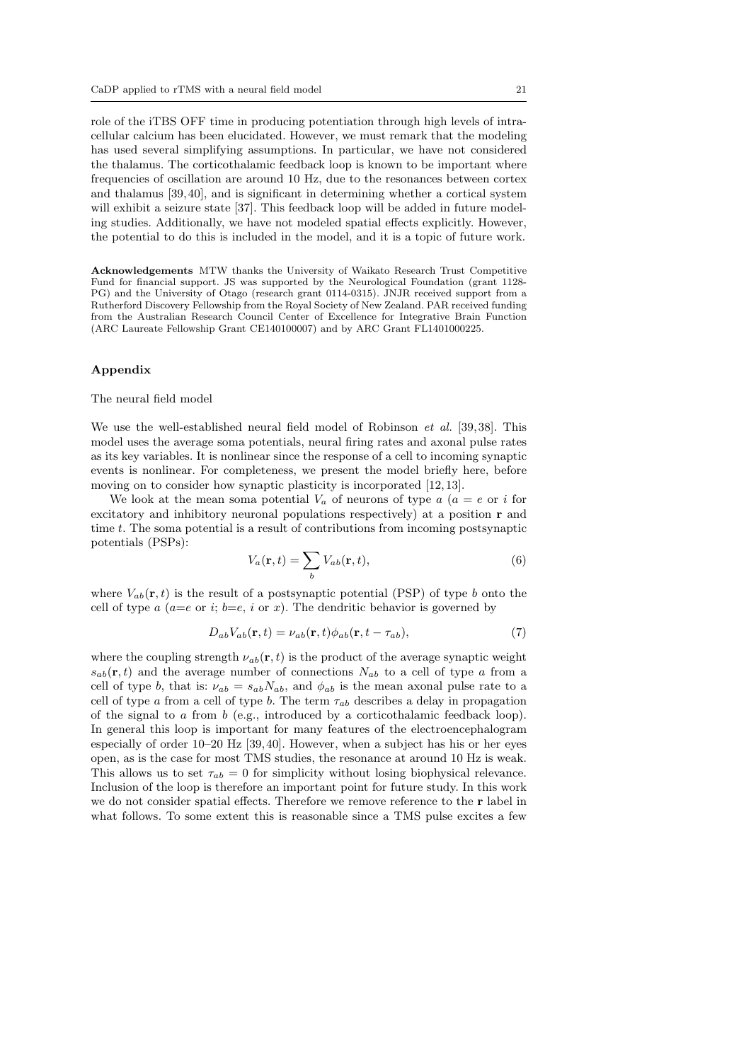role of the iTBS OFF time in producing potentiation through high levels of intracellular calcium has been elucidated. However, we must remark that the modeling has used several simplifying assumptions. In particular, we have not considered the thalamus. The corticothalamic feedback loop is known to be important where frequencies of oscillation are around 10 Hz, due to the resonances between cortex and thalamus [39,40], and is significant in determining whether a cortical system will exhibit a seizure state [37]. This feedback loop will be added in future modeling studies. Additionally, we have not modeled spatial effects explicitly. However, the potential to do this is included in the model, and it is a topic of future work.

Acknowledgements MTW thanks the University of Waikato Research Trust Competitive Fund for financial support. JS was supported by the Neurological Foundation (grant 1128- PG) and the University of Otago (research grant 0114-0315). JNJR received support from a Rutherford Discovery Fellowship from the Royal Society of New Zealand. PAR received funding from the Australian Research Council Center of Excellence for Integrative Brain Function (ARC Laureate Fellowship Grant CE140100007) and by ARC Grant FL1401000225.

#### Appendix

#### The neural field model

We use the well-established neural field model of Robinson *et al.* [39,38]. This model uses the average soma potentials, neural firing rates and axonal pulse rates as its key variables. It is nonlinear since the response of a cell to incoming synaptic events is nonlinear. For completeness, we present the model briefly here, before moving on to consider how synaptic plasticity is incorporated [12,13].

We look at the mean soma potential  $V_a$  of neurons of type  $a$   $(a = e \text{ or } i \text{ for } a$ excitatory and inhibitory neuronal populations respectively) at a position r and time t. The soma potential is a result of contributions from incoming postsynaptic potentials (PSPs):

$$
V_a(\mathbf{r},t) = \sum_b V_{ab}(\mathbf{r},t),\tag{6}
$$

where  $V_{ab}(\mathbf{r},t)$  is the result of a postsynaptic potential (PSP) of type b onto the cell of type a  $(a=e \text{ or } i; b=e, i \text{ or } x)$ . The dendritic behavior is governed by

$$
D_{ab}V_{ab}(\mathbf{r},t) = \nu_{ab}(\mathbf{r},t)\phi_{ab}(\mathbf{r},t-\tau_{ab}),\tag{7}
$$

where the coupling strength  $\nu_{ab}(\mathbf{r}, t)$  is the product of the average synaptic weight  $s_{ab}(\mathbf{r},t)$  and the average number of connections  $N_{ab}$  to a cell of type a from a cell of type b, that is:  $\nu_{ab} = s_{ab} N_{ab}$ , and  $\phi_{ab}$  is the mean axonal pulse rate to a cell of type a from a cell of type b. The term  $\tau_{ab}$  describes a delay in propagation of the signal to a from b (e.g., introduced by a corticothalamic feedback loop). In general this loop is important for many features of the electroencephalogram especially of order 10–20 Hz [39,40]. However, when a subject has his or her eyes open, as is the case for most TMS studies, the resonance at around 10 Hz is weak. This allows us to set  $\tau_{ab} = 0$  for simplicity without losing biophysical relevance. Inclusion of the loop is therefore an important point for future study. In this work we do not consider spatial effects. Therefore we remove reference to the r label in what follows. To some extent this is reasonable since a TMS pulse excites a few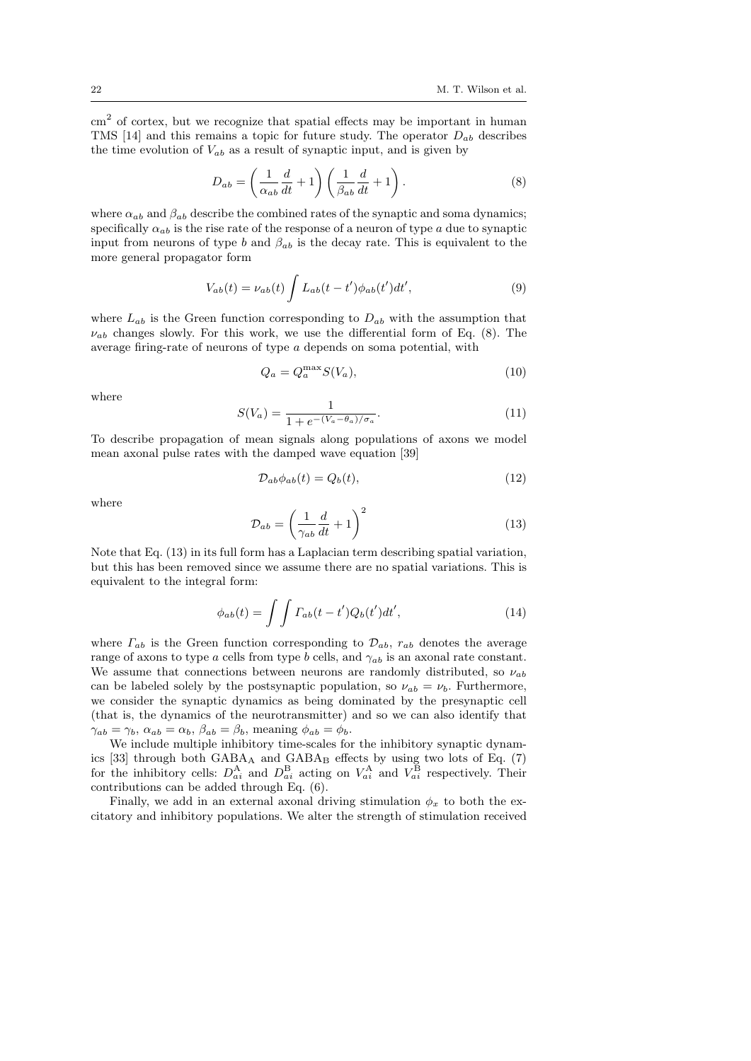cm<sup>2</sup> of cortex, but we recognize that spatial effects may be important in human TMS [14] and this remains a topic for future study. The operator  $D_{ab}$  describes the time evolution of  $V_{ab}$  as a result of synaptic input, and is given by

$$
D_{ab} = \left(\frac{1}{\alpha_{ab}}\frac{d}{dt} + 1\right) \left(\frac{1}{\beta_{ab}}\frac{d}{dt} + 1\right). \tag{8}
$$

where  $\alpha_{ab}$  and  $\beta_{ab}$  describe the combined rates of the synaptic and soma dynamics; specifically  $\alpha_{ab}$  is the rise rate of the response of a neuron of type a due to synaptic input from neurons of type b and  $\beta_{ab}$  is the decay rate. This is equivalent to the more general propagator form

$$
V_{ab}(t) = \nu_{ab}(t) \int L_{ab}(t - t') \phi_{ab}(t') dt', \qquad (9)
$$

where  $L_{ab}$  is the Green function corresponding to  $D_{ab}$  with the assumption that  $\nu_{ab}$  changes slowly. For this work, we use the differential form of Eq. (8). The average firing-rate of neurons of type a depends on soma potential, with

$$
Q_a = Q_a^{\max} S(V_a),\tag{10}
$$

where

$$
S(V_a) = \frac{1}{1 + e^{-(V_a - \theta_a)/\sigma_a}}.
$$
\n(11)

To describe propagation of mean signals along populations of axons we model mean axonal pulse rates with the damped wave equation [39]

$$
\mathcal{D}_{ab}\phi_{ab}(t) = Q_b(t),\tag{12}
$$

where

$$
\mathcal{D}_{ab} = \left(\frac{1}{\gamma_{ab}}\frac{d}{dt} + 1\right)^2\tag{13}
$$

Note that Eq. (13) in its full form has a Laplacian term describing spatial variation, but this has been removed since we assume there are no spatial variations. This is equivalent to the integral form:

$$
\phi_{ab}(t) = \int \int \Gamma_{ab}(t - t')Q_b(t')dt', \qquad (14)
$$

where  $\Gamma_{ab}$  is the Green function corresponding to  $\mathcal{D}_{ab}$ ,  $r_{ab}$  denotes the average range of axons to type a cells from type b cells, and  $\gamma_{ab}$  is an axonal rate constant. We assume that connections between neurons are randomly distributed, so  $\nu_{ab}$ can be labeled solely by the postsynaptic population, so  $\nu_{ab} = \nu_b$ . Furthermore, we consider the synaptic dynamics as being dominated by the presynaptic cell (that is, the dynamics of the neurotransmitter) and so we can also identify that  $\gamma_{ab} = \gamma_b$ ,  $\alpha_{ab} = \alpha_b$ ,  $\beta_{ab} = \beta_b$ , meaning  $\phi_{ab} = \phi_b$ .

We include multiple inhibitory time-scales for the inhibitory synaptic dynamics [33] through both  $GABA_A$  and  $GABA_B$  effects by using two lots of Eq. (7) for the inhibitory cells:  $D_{ai}^{\text{A}}$  and  $D_{ai}^{\text{B}}$  acting on  $V_{ai}^{\text{A}}$  and  $V_{ai}^{\text{B}}$  respectively. Their contributions can be added through Eq. (6).

Finally, we add in an external axonal driving stimulation  $\phi_x$  to both the excitatory and inhibitory populations. We alter the strength of stimulation received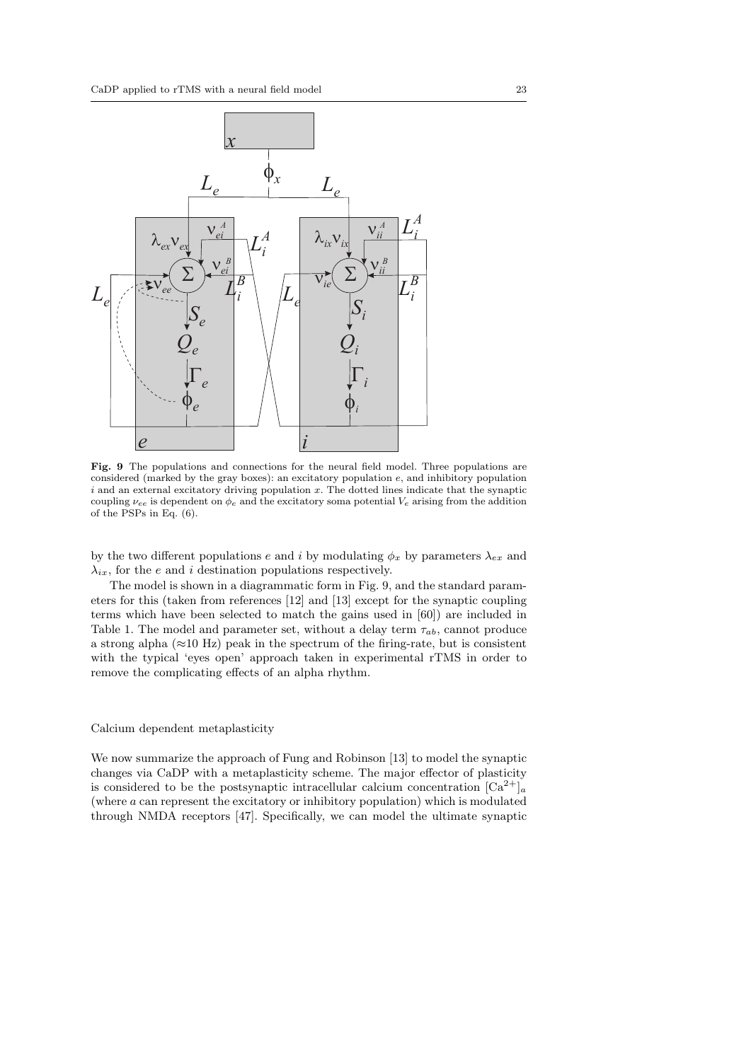

Fig. 9 The populations and connections for the neural field model. Three populations are considered (marked by the gray boxes): an excitatory population e, and inhibitory population  $i$  and an external excitatory driving population  $x$ . The dotted lines indicate that the synaptic coupling  $\nu_{ee}$  is dependent on  $\phi_e$  and the excitatory soma potential  $V_e$  arising from the addition of the PSPs in Eq. (6).

by the two different populations e and i by modulating  $\phi_x$  by parameters  $\lambda_{ex}$  and  $\lambda_{ix}$ , for the e and i destination populations respectively.

The model is shown in a diagrammatic form in Fig. 9, and the standard parameters for this (taken from references [12] and [13] except for the synaptic coupling terms which have been selected to match the gains used in [60]) are included in Table 1. The model and parameter set, without a delay term  $\tau_{ab}$ , cannot produce a strong alpha ( $\approx$ 10 Hz) peak in the spectrum of the firing-rate, but is consistent with the typical 'eyes open' approach taken in experimental rTMS in order to remove the complicating effects of an alpha rhythm.

# Calcium dependent metaplasticity

We now summarize the approach of Fung and Robinson [13] to model the synaptic changes via CaDP with a metaplasticity scheme. The major effector of plasticity is considered to be the postsynaptic intracellular calcium concentration  $\lceil Ca^{2+} \rceil_a$ (where a can represent the excitatory or inhibitory population) which is modulated through NMDA receptors [47]. Specifically, we can model the ultimate synaptic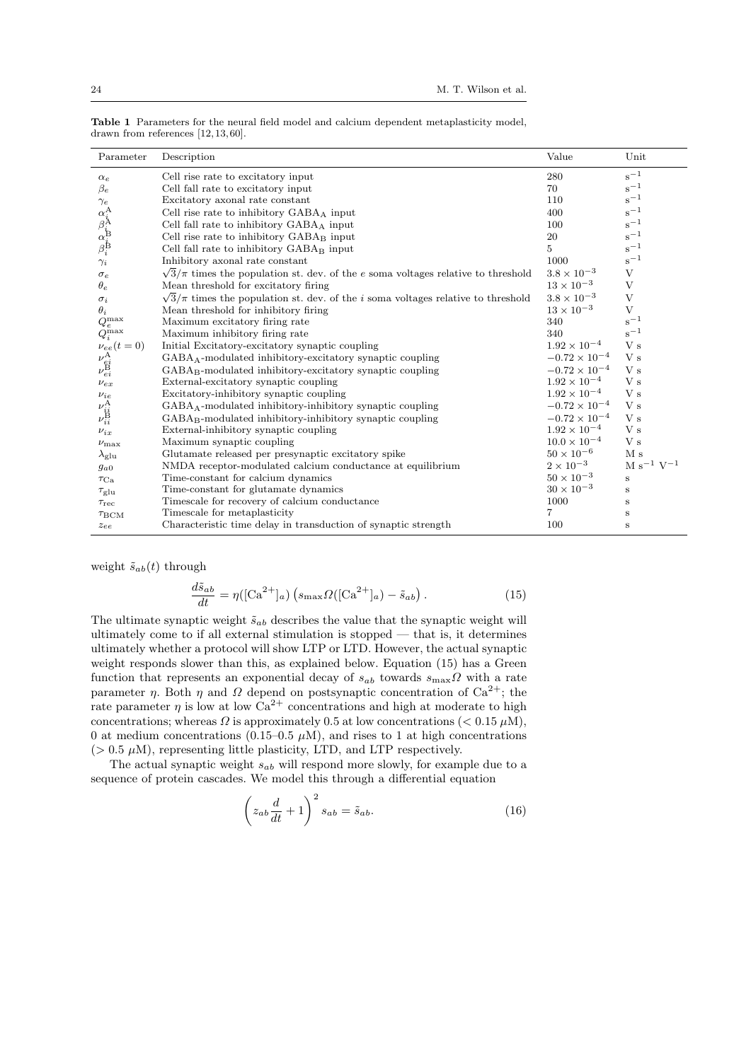| Parameter                                                                                | Description                                                                                      | Value                  | Unit              |
|------------------------------------------------------------------------------------------|--------------------------------------------------------------------------------------------------|------------------------|-------------------|
| $\alpha_e$                                                                               | Cell rise rate to excitatory input                                                               | 280                    | $s^{-1}$          |
| $\beta_e$                                                                                | Cell fall rate to excitatory input                                                               | 70                     | $s^{-1}$          |
| $\gamma_e$                                                                               | Excitatory axonal rate constant                                                                  | 110                    | $s^{-1}$          |
| $\alpha_i^{\text{A}} \\ \beta_i^{\text{A}} \\ \alpha_j^{\text{B}} \\ \beta_i^{\text{B}}$ | Cell rise rate to inhibitory $GABA_A$ input                                                      | 400                    | $s^{-1}$          |
|                                                                                          | Cell fall rate to inhibitory $GABA_A$ input                                                      | 100                    | $s^{-1}$          |
|                                                                                          | Cell rise rate to inhibitory $GABA_B$ input                                                      | 20                     | $s^{-1}$          |
|                                                                                          | Cell fall rate to inhibitory $GABA_B$ input                                                      | 5                      | $s^{-1}$          |
| $\gamma_i$                                                                               | Inhibitory axonal rate constant                                                                  | 1000                   | $s^{-1}$          |
| $\sigma_e$                                                                               | $\sqrt{3}/\pi$ times the population st. dev. of the $e$ soma voltages relative to threshold      | $3.8 \times 10^{-3}$   | V                 |
| $\theta_e$                                                                               | Mean threshold for excitatory firing                                                             | $13 \times 10^{-3}$    | V                 |
| $\sigma_i$                                                                               | $\sqrt{3}/\pi$ times the population st. dev. of the <i>i</i> soma voltages relative to threshold | $3.8\times10^{-3}$     | V                 |
| $\theta_i$                                                                               | Mean threshold for inhibitory firing                                                             | $13\times10^{-3}$      | V                 |
| $Q_e^{\max}$                                                                             | Maximum excitatory firing rate                                                                   | 340                    | $s^{-1}$          |
| $Q_i^{\max}$                                                                             | Maximum inhibitory firing rate                                                                   | 340                    | $s^{-1}$          |
| $\nu_{ee}(t=0)$                                                                          | Initial Excitatory-excitatory synaptic coupling                                                  | $1.92 \times 10^{-4}$  | V <sub>s</sub>    |
| $\nu^{\rm A}_{\rm e i} \\ \nu^{\rm B}_{ei}$                                              | $GABA_A$ -modulated inhibitory-excitatory synaptic coupling                                      | $-0.72 \times 10^{-4}$ | V <sub>s</sub>    |
|                                                                                          | $GABA_B$ -modulated inhibitory-excitatory synaptic coupling                                      | $-0.72 \times 10^{-4}$ | V s               |
| $\nu_{ex}$                                                                               | External-excitatory synaptic coupling                                                            | $1.92 \times 10^{-4}$  | V <sub>s</sub>    |
| $\nu_{ie}$                                                                               | Excitatory-inhibitory synaptic coupling                                                          | $1.92 \times 10^{-4}$  | V <sub>s</sub>    |
|                                                                                          | $GABA_A$ -modulated inhibitory-inhibitory synaptic coupling                                      | $-0.72\times10^{-4}$   | V s               |
| $\nu^{\textrm{A}}_{i\dot{i}}\\ \nu^{\textrm{B}}_{i i}$                                   | $GABA_B$ -modulated inhibitory-inhibitory synaptic coupling                                      | $-0.72 \times 10^{-4}$ | V <sub>s</sub>    |
| $\nu_{ix}$                                                                               | External-inhibitory synaptic coupling                                                            | $1.92\times10^{-4}$    | V <sub>s</sub>    |
| $\nu_{\text{max}}$                                                                       | Maximum synaptic coupling                                                                        | $10.0 \times 10^{-4}$  | V s               |
| $\lambda_{\rm glu}$                                                                      | Glutamate released per presynaptic excitatory spike                                              | $50 \times 10^{-6}$    | M <sub>s</sub>    |
| $g_{a0}$                                                                                 | NMDA receptor-modulated calcium conductance at equilibrium                                       | $2\times10^{-3}$       | $M s^{-1} V^{-1}$ |
| $\tau_{\rm Ca}$                                                                          | Time-constant for calcium dynamics                                                               | $50 \times 10^{-3}$    | $\bf S$           |
| $\tau_{\rm glu}$                                                                         | Time-constant for glutamate dynamics                                                             | $30 \times 10^{-3}$    | S                 |
| $\tau_{\rm rec}$                                                                         | Timescale for recovery of calcium conductance                                                    | 1000                   | $\bf S$           |
| $T_{\rm BCM}$                                                                            | Timescale for metaplasticity                                                                     | 7                      | $\mathbf S$       |
| $z_{ee}$                                                                                 | Characteristic time delay in transduction of synaptic strength                                   | 100                    | $\bf S$           |

Table 1 Parameters for the neural field model and calcium dependent metaplasticity model, drawn from references [12,13,60].

weight  $\tilde{s}_{ab}(t)$  through

$$
\frac{d\tilde{s}_{ab}}{dt} = \eta \left( \left[ \text{Ca}^{2+} \right]_a \right) \left( s_{\text{max}} \Omega \left( \left[ \text{Ca}^{2+} \right]_a \right) - \tilde{s}_{ab} \right). \tag{15}
$$

The ultimate synaptic weight  $\tilde{s}_{ab}$  describes the value that the synaptic weight will ultimately come to if all external stimulation is stopped — that is, it determines ultimately whether a protocol will show LTP or LTD. However, the actual synaptic weight responds slower than this, as explained below. Equation (15) has a Green function that represents an exponential decay of  $s_{ab}$  towards  $s_{\text{max}}\Omega$  with a rate parameter  $\eta$ . Both  $\eta$  and  $\Omega$  depend on postsynaptic concentration of Ca<sup>2+</sup>; the rate parameter  $\eta$  is low at low Ca<sup>2+</sup> concentrations and high at moderate to high concentrations; whereas  $\Omega$  is approximately 0.5 at low concentrations ( $\langle 0.15 \mu M \rangle$ ), 0 at medium concentrations (0.15–0.5  $\mu$ M), and rises to 1 at high concentrations ( $> 0.5 \mu M$ ), representing little plasticity, LTD, and LTP respectively.

The actual synaptic weight  $s_{ab}$  will respond more slowly, for example due to a sequence of protein cascades. We model this through a differential equation

$$
\left(z_{ab}\frac{d}{dt} + 1\right)^2 s_{ab} = \tilde{s}_{ab}.\tag{16}
$$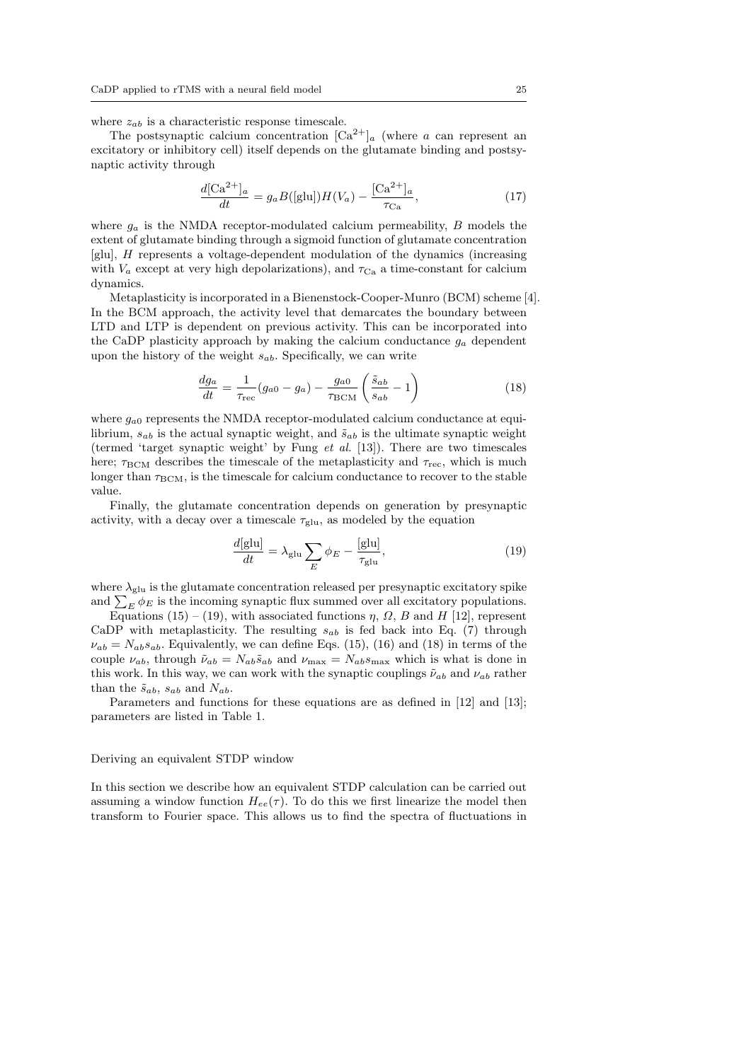where  $z_{ab}$  is a characteristic response timescale.

The postsynaptic calcium concentration  $\lbrack Ca^{2+}\rbrack_a$  (where a can represent an excitatory or inhibitory cell) itself depends on the glutamate binding and postsynaptic activity through

$$
\frac{d[\text{Ca}^{2+}]_a}{dt} = g_a B([\text{glu}]) H(V_a) - \frac{[\text{Ca}^{2+}]_a}{\tau_{\text{Ca}}},\tag{17}
$$

where  $g_a$  is the NMDA receptor-modulated calcium permeability, B models the extent of glutamate binding through a sigmoid function of glutamate concentration [glu], H represents a voltage-dependent modulation of the dynamics (increasing with  $V_a$  except at very high depolarizations), and  $\tau_{Ca}$  a time-constant for calcium dynamics.

Metaplasticity is incorporated in a Bienenstock-Cooper-Munro (BCM) scheme [4]. In the BCM approach, the activity level that demarcates the boundary between LTD and LTP is dependent on previous activity. This can be incorporated into the CaDP plasticity approach by making the calcium conductance  $g_a$  dependent upon the history of the weight  $s_{ab}$ . Specifically, we can write

$$
\frac{dg_a}{dt} = \frac{1}{\tau_{\text{rec}}}(g_{a0} - g_a) - \frac{g_{a0}}{\tau_{\text{BCM}}} \left(\frac{\tilde{s}_{ab}}{s_{ab}} - 1\right)
$$
(18)

where  $g_{a0}$  represents the NMDA receptor-modulated calcium conductance at equilibrium,  $s_{ab}$  is the actual synaptic weight, and  $\tilde{s}_{ab}$  is the ultimate synaptic weight (termed 'target synaptic weight' by Fung et al. [13]). There are two timescales here;  $\tau_{\text{BCM}}$  describes the timescale of the metaplasticity and  $\tau_{\text{rec}}$ , which is much longer than  $\tau_{\text{BCM}}$ , is the timescale for calcium conductance to recover to the stable value.

Finally, the glutamate concentration depends on generation by presynaptic activity, with a decay over a timescale  $\tau_{\text{glu}}$ , as modeled by the equation

$$
\frac{d[\text{glu}]}{dt} = \lambda_{\text{glu}} \sum_{E} \phi_E - \frac{[\text{glu}]}{\tau_{\text{glu}}},\tag{19}
$$

where  $\lambda_{\text{glu}}$  is the glutamate concentration released per presynaptic excitatory spike and  $\sum_E \phi_E$  is the incoming synaptic flux summed over all excitatory populations.

Equations (15) – (19), with associated functions  $\eta$ ,  $\Omega$ ,  $B$  and  $H$  [12], represent CaDP with metaplasticity. The resulting  $s_{ab}$  is fed back into Eq. (7) through  $\nu_{ab} = N_{ab} s_{ab}$ . Equivalently, we can define Eqs. (15), (16) and (18) in terms of the couple  $\nu_{ab}$ , through  $\tilde{\nu}_{ab} = N_{ab} \tilde{s}_{ab}$  and  $\nu_{\text{max}} = N_{ab} s_{\text{max}}$  which is what is done in this work. In this way, we can work with the synaptic couplings  $\tilde{\nu}_{ab}$  and  $\nu_{ab}$  rather than the  $\tilde{s}_{ab}$ ,  $s_{ab}$  and  $N_{ab}$ .

Parameters and functions for these equations are as defined in [12] and [13]; parameters are listed in Table 1.

#### Deriving an equivalent STDP window

In this section we describe how an equivalent STDP calculation can be carried out assuming a window function  $H_{ee}(\tau)$ . To do this we first linearize the model then transform to Fourier space. This allows us to find the spectra of fluctuations in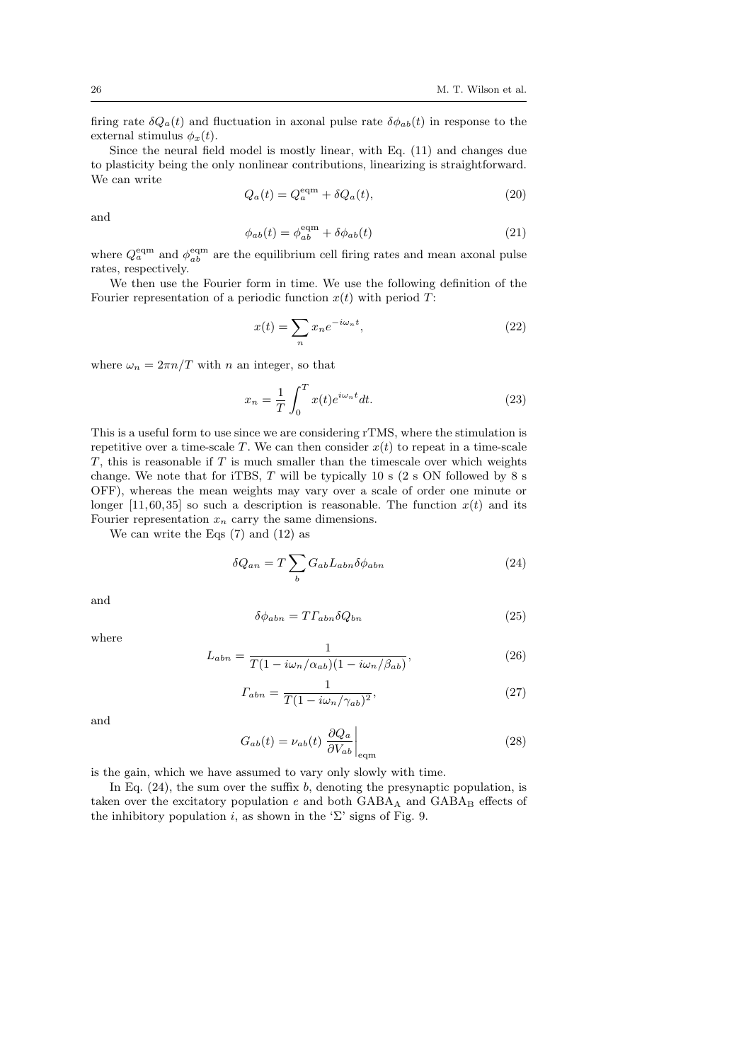firing rate  $\delta Q_a(t)$  and fluctuation in axonal pulse rate  $\delta \phi_{ab}(t)$  in response to the external stimulus  $\phi_x(t)$ .

Since the neural field model is mostly linear, with Eq. (11) and changes due to plasticity being the only nonlinear contributions, linearizing is straightforward. We can write

$$
Q_a(t) = Q_a^{\text{eqm}} + \delta Q_a(t), \qquad (20)
$$

and

$$
\phi_{ab}(t) = \phi_{ab}^{\text{eqm}} + \delta\phi_{ab}(t) \tag{21}
$$

where  $Q_a^{\text{eqm}}$  and  $\phi_{ab}^{\text{eqm}}$  are the equilibrium cell firing rates and mean axonal pulse rates, respectively.

We then use the Fourier form in time. We use the following definition of the Fourier representation of a periodic function  $x(t)$  with period T:

$$
x(t) = \sum_{n} x_n e^{-i\omega_n t},
$$
\n(22)

where  $\omega_n = 2\pi n/T$  with n an integer, so that

$$
x_n = \frac{1}{T} \int_0^T x(t)e^{i\omega_n t} dt.
$$
 (23)

This is a useful form to use since we are considering rTMS, where the stimulation is repetitive over a time-scale T. We can then consider  $x(t)$  to repeat in a time-scale  $T$ , this is reasonable if  $T$  is much smaller than the timescale over which weights change. We note that for iTBS,  $T$  will be typically 10 s (2 s ON followed by 8 s OFF), whereas the mean weights may vary over a scale of order one minute or longer [11, 60, 35] so such a description is reasonable. The function  $x(t)$  and its Fourier representation  $x_n$  carry the same dimensions.

We can write the Eqs (7) and (12) as

$$
\delta Q_{an} = T \sum_{b} G_{ab} L_{abn} \delta \phi_{abn} \tag{24}
$$

and

$$
\delta\phi_{abn} = T\Gamma_{abn}\delta Q_{bn} \tag{25}
$$

where

$$
L_{abn} = \frac{1}{T(1 - i\omega_n/\alpha_{ab})(1 - i\omega_n/\beta_{ab})},\tag{26}
$$

$$
\Gamma_{abn} = \frac{1}{T(1 - i\omega_n/\gamma_{ab})^2},\tag{27}
$$

and

$$
G_{ab}(t) = \nu_{ab}(t) \left. \frac{\partial Q_a}{\partial V_{ab}} \right|_{\text{eqm}} \tag{28}
$$

is the gain, which we have assumed to vary only slowly with time.

In Eq.  $(24)$ , the sum over the suffix b, denoting the presynaptic population, is taken over the excitatory population  $e$  and both  $GABA_A$  and  $GABA_B$  effects of the inhibitory population i, as shown in the ' $\Sigma$ ' signs of Fig. 9.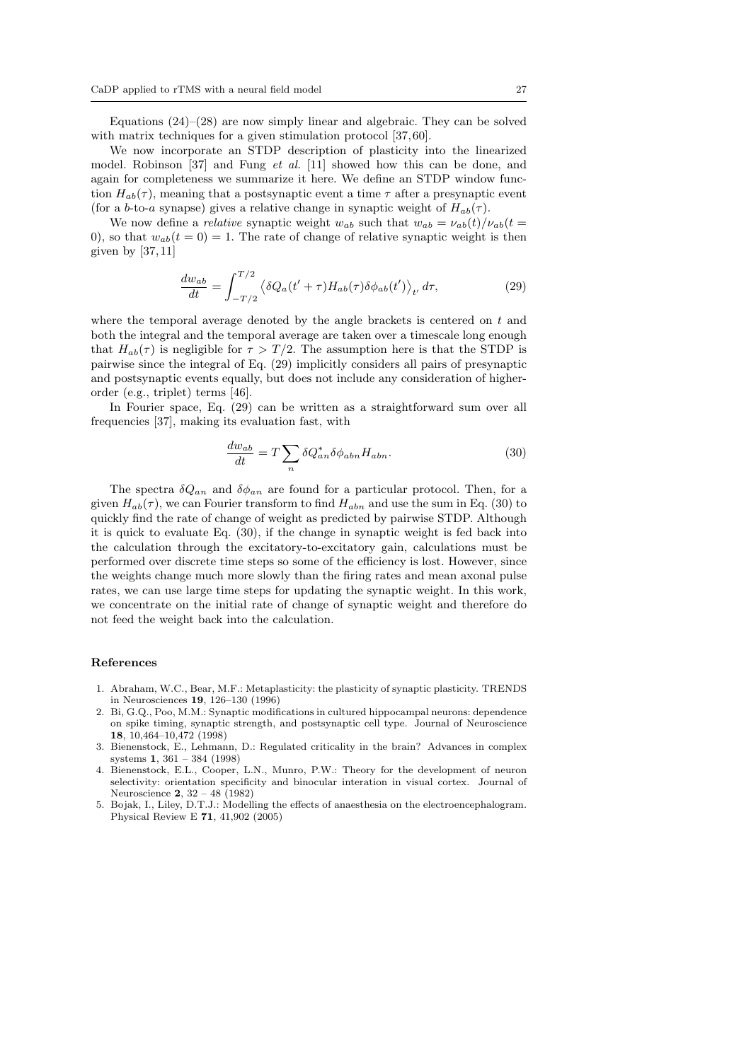Equations  $(24)$ – $(28)$  are now simply linear and algebraic. They can be solved with matrix techniques for a given stimulation protocol [37, 60].

We now incorporate an STDP description of plasticity into the linearized model. Robinson [37] and Fung et al. [11] showed how this can be done, and again for completeness we summarize it here. We define an STDP window function  $H_{ab}(\tau)$ , meaning that a postsynaptic event a time  $\tau$  after a presynaptic event (for a b-to-a synapse) gives a relative change in synaptic weight of  $H_{ab}(\tau)$ .

We now define a *relative* synaptic weight  $w_{ab}$  such that  $w_{ab} = \nu_{ab}(t)/\nu_{ab}(t)$ 0), so that  $w_{ab}(t=0) = 1$ . The rate of change of relative synaptic weight is then given by  $[37, 11]$ 

$$
\frac{dw_{ab}}{dt} = \int_{-T/2}^{T/2} \left\langle \delta Q_a(t' + \tau) H_{ab}(\tau) \delta \phi_{ab}(t') \right\rangle_{t'} d\tau,\tag{29}
$$

where the temporal average denoted by the angle brackets is centered on  $t$  and both the integral and the temporal average are taken over a timescale long enough that  $H_{ab}(\tau)$  is negligible for  $\tau > T/2$ . The assumption here is that the STDP is pairwise since the integral of Eq. (29) implicitly considers all pairs of presynaptic and postsynaptic events equally, but does not include any consideration of higherorder (e.g., triplet) terms [46].

In Fourier space, Eq. (29) can be written as a straightforward sum over all frequencies [37], making its evaluation fast, with

$$
\frac{dw_{ab}}{dt} = T \sum_{n} \delta Q_{an}^* \delta \phi_{abn} H_{abn}.
$$
\n(30)

The spectra  $\delta Q_{an}$  and  $\delta \phi_{an}$  are found for a particular protocol. Then, for a given  $H_{ab}(\tau)$ , we can Fourier transform to find  $H_{abn}$  and use the sum in Eq. (30) to quickly find the rate of change of weight as predicted by pairwise STDP. Although it is quick to evaluate Eq. (30), if the change in synaptic weight is fed back into the calculation through the excitatory-to-excitatory gain, calculations must be performed over discrete time steps so some of the efficiency is lost. However, since the weights change much more slowly than the firing rates and mean axonal pulse rates, we can use large time steps for updating the synaptic weight. In this work, we concentrate on the initial rate of change of synaptic weight and therefore do not feed the weight back into the calculation.

#### References

- 1. Abraham, W.C., Bear, M.F.: Metaplasticity: the plasticity of synaptic plasticity. TRENDS in Neurosciences 19, 126–130 (1996)
- 2. Bi, G.Q., Poo, M.M.: Synaptic modifications in cultured hippocampal neurons: dependence on spike timing, synaptic strength, and postsynaptic cell type. Journal of Neuroscience 18, 10,464–10,472 (1998)
- 3. Bienenstock, E., Lehmann, D.: Regulated criticality in the brain? Advances in complex systems 1, 361 – 384 (1998)
- 4. Bienenstock, E.L., Cooper, L.N., Munro, P.W.: Theory for the development of neuron selectivity: orientation specificity and binocular interation in visual cortex. Journal of Neuroscience 2, 32 – 48 (1982)
- 5. Bojak, I., Liley, D.T.J.: Modelling the effects of anaesthesia on the electroencephalogram. Physical Review E 71, 41,902 (2005)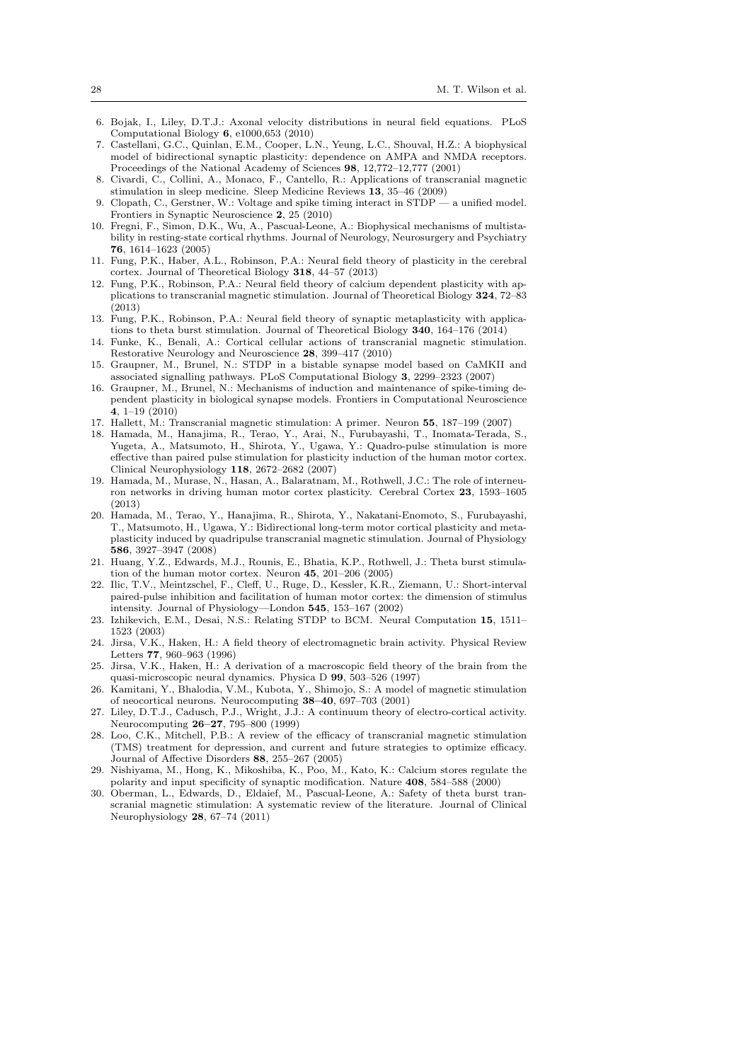- 6. Bojak, I., Liley, D.T.J.: Axonal velocity distributions in neural field equations. PLoS Computational Biology 6, e1000,653 (2010)
- 7. Castellani, G.C., Quinlan, E.M., Cooper, L.N., Yeung, L.C., Shouval, H.Z.: A biophysical model of bidirectional synaptic plasticity: dependence on AMPA and NMDA receptors. Proceedings of the National Academy of Sciences 98, 12,772–12,777 (2001)
- 8. Civardi, C., Collini, A., Monaco, F., Cantello, R.: Applications of transcranial magnetic stimulation in sleep medicine. Sleep Medicine Reviews 13, 35–46 (2009)
- 9. Clopath, C., Gerstner, W.: Voltage and spike timing interact in STDP a unified model. Frontiers in Synaptic Neuroscience 2, 25 (2010)
- 10. Fregni, F., Simon, D.K., Wu, A., Pascual-Leone, A.: Biophysical mechanisms of multistability in resting-state cortical rhythms. Journal of Neurology, Neurosurgery and Psychiatry 76, 1614–1623 (2005)
- 11. Fung, P.K., Haber, A.L., Robinson, P.A.: Neural field theory of plasticity in the cerebral cortex. Journal of Theoretical Biology 318, 44–57 (2013)
- 12. Fung, P.K., Robinson, P.A.: Neural field theory of calcium dependent plasticity with applications to transcranial magnetic stimulation. Journal of Theoretical Biology 324, 72–83 (2013)
- 13. Fung, P.K., Robinson, P.A.: Neural field theory of synaptic metaplasticity with applications to theta burst stimulation. Journal of Theoretical Biology 340, 164–176 (2014)
- 14. Funke, K., Benali, A.: Cortical cellular actions of transcranial magnetic stimulation. Restorative Neurology and Neuroscience 28, 399–417 (2010)
- 15. Graupner, M., Brunel, N.: STDP in a bistable synapse model based on CaMKII and associated signalling pathways. PLoS Computational Biology 3, 2299–2323 (2007)
- 16. Graupner, M., Brunel, N.: Mechanisms of induction and maintenance of spike-timing dependent plasticity in biological synapse models. Frontiers in Computational Neuroscience 4, 1–19 (2010)
- 17. Hallett, M.: Transcranial magnetic stimulation: A primer. Neuron 55, 187–199 (2007)
- 18. Hamada, M., Hanajima, R., Terao, Y., Arai, N., Furubayashi, T., Inomata-Terada, S., Yugeta, A., Matsumoto, H., Shirota, Y., Ugawa, Y.: Quadro-pulse stimulation is more effective than paired pulse stimulation for plasticity induction of the human motor cortex. Clinical Neurophysiology 118, 2672–2682 (2007)
- 19. Hamada, M., Murase, N., Hasan, A., Balaratnam, M., Rothwell, J.C.: The role of interneuron networks in driving human motor cortex plasticity. Cerebral Cortex 23, 1593–1605 (2013)
- 20. Hamada, M., Terao, Y., Hanajima, R., Shirota, Y., Nakatani-Enomoto, S., Furubayashi, T., Matsumoto, H., Ugawa, Y.: Bidirectional long-term motor cortical plasticity and metaplasticity induced by quadripulse transcranial magnetic stimulation. Journal of Physiology 586, 3927–3947 (2008)
- 21. Huang, Y.Z., Edwards, M.J., Rounis, E., Bhatia, K.P., Rothwell, J.: Theta burst stimulation of the human motor cortex. Neuron 45, 201–206 (2005)
- 22. Ilic, T.V., Meintzschel, F., Cleff, U., Ruge, D., Kessler, K.R., Ziemann, U.: Short-interval paired-pulse inhibition and facilitation of human motor cortex: the dimension of stimulus intensity. Journal of Physiology—London 545, 153–167 (2002)
- 23. Izhikevich, E.M., Desai, N.S.: Relating STDP to BCM. Neural Computation 15, 1511– 1523 (2003)
- Jirsa, V.K., Haken, H.: A field theory of electromagnetic brain activity. Physical Review Letters 77, 960–963 (1996)
- 25. Jirsa, V.K., Haken, H.: A derivation of a macroscopic field theory of the brain from the quasi-microscopic neural dynamics. Physica D 99, 503–526 (1997)
- 26. Kamitani, Y., Bhalodia, V.M., Kubota, Y., Shimojo, S.: A model of magnetic stimulation of neocortical neurons. Neurocomputing 38–40, 697–703 (2001)
- 27. Liley, D.T.J., Cadusch, P.J., Wright, J.J.: A continuum theory of electro-cortical activity. Neurocomputing 26–27, 795–800 (1999)
- 28. Loo, C.K., Mitchell, P.B.: A review of the efficacy of transcranial magnetic stimulation (TMS) treatment for depression, and current and future strategies to optimize efficacy. Journal of Affective Disorders 88, 255–267 (2005)
- 29. Nishiyama, M., Hong, K., Mikoshiba, K., Poo, M., Kato, K.: Calcium stores regulate the polarity and input specificity of synaptic modification. Nature 408, 584–588 (2000)
- 30. Oberman, L., Edwards, D., Eldaief, M., Pascual-Leone, A.: Safety of theta burst transcranial magnetic stimulation: A systematic review of the literature. Journal of Clinical Neurophysiology 28, 67–74 (2011)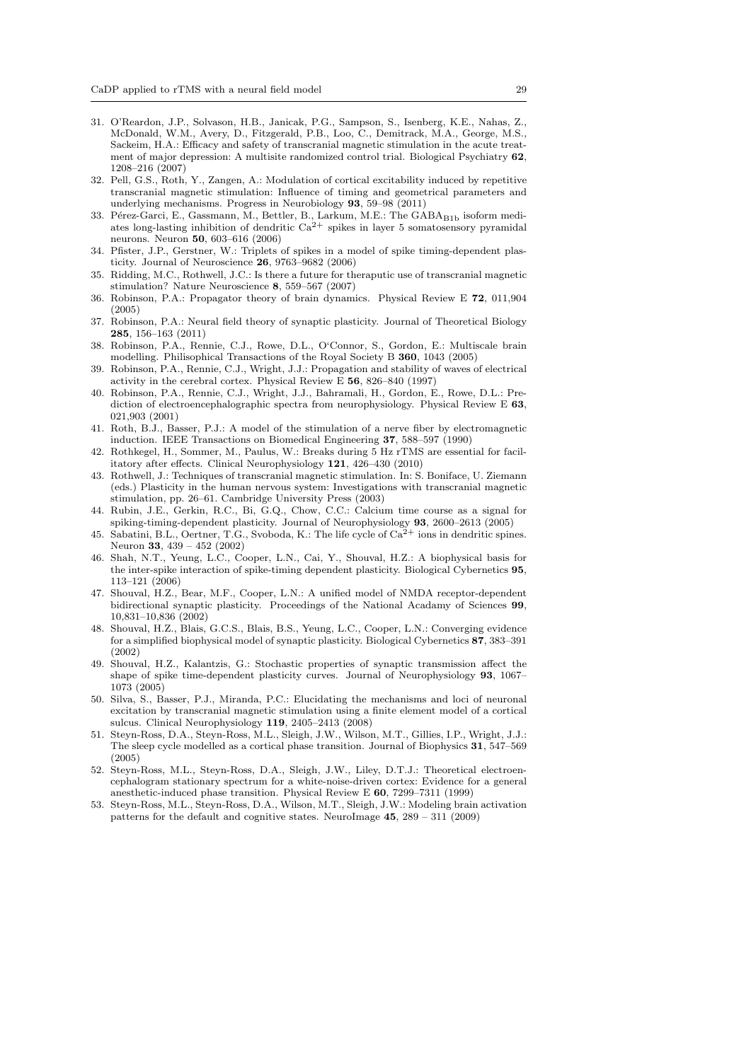- 31. O'Reardon, J.P., Solvason, H.B., Janicak, P.G., Sampson, S., Isenberg, K.E., Nahas, Z., McDonald, W.M., Avery, D., Fitzgerald, P.B., Loo, C., Demitrack, M.A., George, M.S., Sackeim, H.A.: Efficacy and safety of transcranial magnetic stimulation in the acute treatment of major depression: A multisite randomized control trial. Biological Psychiatry 62, 1208–216 (2007)
- 32. Pell, G.S., Roth, Y., Zangen, A.: Modulation of cortical excitability induced by repetitive transcranial magnetic stimulation: Influence of timing and geometrical parameters and underlying mechanisms. Progress in Neurobiology 93, 59–98 (2011)
- 33. Pérez-Garci, E., Gassmann, M., Bettler, B., Larkum, M.E.: The GABA<sub>B1b</sub> isoform mediates long-lasting inhibition of dendritic  $Ca<sup>2+</sup>$  spikes in layer 5 somatosensory pyramidal neurons. Neuron 50, 603–616 (2006)
- 34. Pfister, J.P., Gerstner, W.: Triplets of spikes in a model of spike timing-dependent plasticity. Journal of Neuroscience 26, 9763–9682 (2006)
- 35. Ridding, M.C., Rothwell, J.C.: Is there a future for theraputic use of transcranial magnetic stimulation? Nature Neuroscience 8, 559–567 (2007)
- 36. Robinson, P.A.: Propagator theory of brain dynamics. Physical Review E 72, 011,904 (2005)
- 37. Robinson, P.A.: Neural field theory of synaptic plasticity. Journal of Theoretical Biology 285, 156–163 (2011)
- 38. Robinson, P.A., Rennie, C.J., Rowe, D.L., O'Connor, S., Gordon, E.: Multiscale brain modelling. Philisophical Transactions of the Royal Society B 360, 1043 (2005)
- 39. Robinson, P.A., Rennie, C.J., Wright, J.J.: Propagation and stability of waves of electrical activity in the cerebral cortex. Physical Review E  $56$ ,  $826-840$  (1997)
- 40. Robinson, P.A., Rennie, C.J., Wright, J.J., Bahramali, H., Gordon, E., Rowe, D.L.: Prediction of electroencephalographic spectra from neurophysiology. Physical Review E 63, 021,903 (2001)
- 41. Roth, B.J., Basser, P.J.: A model of the stimulation of a nerve fiber by electromagnetic induction. IEEE Transactions on Biomedical Engineering 37, 588–597 (1990)
- 42. Rothkegel, H., Sommer, M., Paulus, W.: Breaks during 5 Hz rTMS are essential for facilitatory after effects. Clinical Neurophysiology 121, 426–430 (2010)
- 43. Rothwell, J.: Techniques of transcranial magnetic stimulation. In: S. Boniface, U. Ziemann (eds.) Plasticity in the human nervous system: Investigations with transcranial magnetic stimulation, pp. 26–61. Cambridge University Press (2003)
- 44. Rubin, J.E., Gerkin, R.C., Bi, G.Q., Chow, C.C.: Calcium time course as a signal for spiking-timing-dependent plasticity. Journal of Neurophysiology 93, 2600–2613 (2005)
- 45. Sabatini, B.L., Oertner, T.G., Svoboda, K.: The life cycle of  $Ca^{2+}$  ions in dendritic spines. Neuron 33, 439 – 452 (2002)
- 46. Shah, N.T., Yeung, L.C., Cooper, L.N., Cai, Y., Shouval, H.Z.: A biophysical basis for the inter-spike interaction of spike-timing dependent plasticity. Biological Cybernetics 95, 113–121 (2006)
- 47. Shouval, H.Z., Bear, M.F., Cooper, L.N.: A unified model of NMDA receptor-dependent bidirectional synaptic plasticity. Proceedings of the National Acadamy of Sciences 99, 10,831–10,836 (2002)
- 48. Shouval, H.Z., Blais, G.C.S., Blais, B.S., Yeung, L.C., Cooper, L.N.: Converging evidence for a simplified biophysical model of synaptic plasticity. Biological Cybernetics 87, 383–391 (2002)
- 49. Shouval, H.Z., Kalantzis, G.: Stochastic properties of synaptic transmission affect the shape of spike time-dependent plasticity curves. Journal of Neurophysiology 93, 1067– 1073 (2005)
- 50. Silva, S., Basser, P.J., Miranda, P.C.: Elucidating the mechanisms and loci of neuronal excitation by transcranial magnetic stimulation using a finite element model of a cortical sulcus. Clinical Neurophysiology 119, 2405–2413 (2008)
- 51. Steyn-Ross, D.A., Steyn-Ross, M.L., Sleigh, J.W., Wilson, M.T., Gillies, I.P., Wright, J.J.: The sleep cycle modelled as a cortical phase transition. Journal of Biophysics 31, 547–569 (2005)
- 52. Steyn-Ross, M.L., Steyn-Ross, D.A., Sleigh, J.W., Liley, D.T.J.: Theoretical electroencephalogram stationary spectrum for a white-noise-driven cortex: Evidence for a general anesthetic-induced phase transition. Physical Review E 60, 7299–7311 (1999)
- 53. Steyn-Ross, M.L., Steyn-Ross, D.A., Wilson, M.T., Sleigh, J.W.: Modeling brain activation patterns for the default and cognitive states. NeuroImage 45, 289 – 311 (2009)